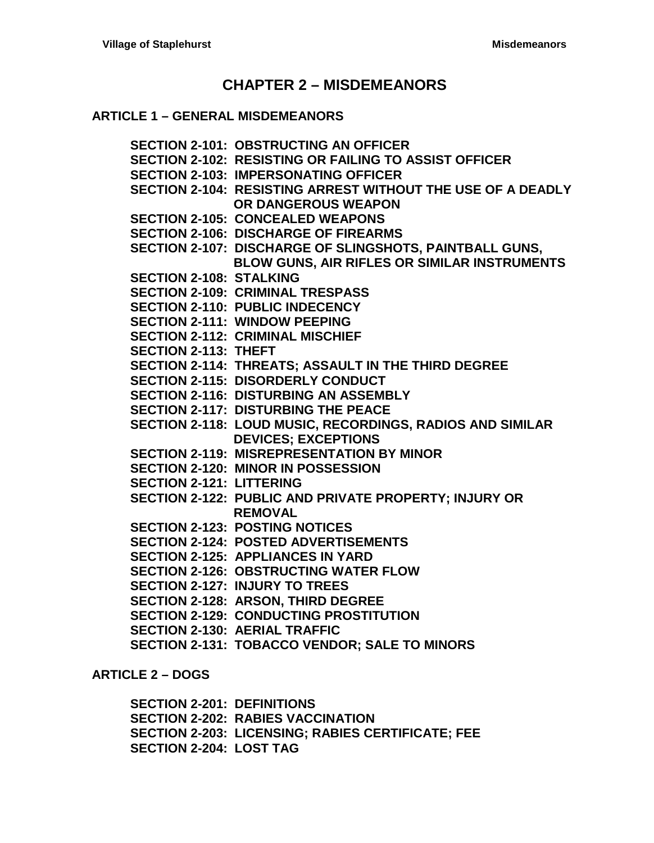# **CHAPTER 2 – [MISDEMEANORS](#page-4-0)**

#### **ARTICLE 1 – [GENERAL MISDEMEANORS](#page-4-1)**

**[SECTION 2-101: OBSTRUCTING AN OFFICER](#page-4-2) [SECTION 2-102: RESISTING OR FAILING TO ASSIST OFFICER](#page-4-3) [SECTION 2-103: IMPERSONATING OFFICER](#page-4-4) [SECTION 2-104: RESISTING ARREST WITHOUT THE USE OF A DEADLY](#page-4-5)  [OR DANGEROUS WEAPON](#page-4-5) [SECTION 2-105: CONCEALED WEAPONS](#page-4-6) [SECTION 2-106: DISCHARGE OF FIREARMS](#page-5-0) [SECTION 2-107: DISCHARGE OF SLINGSHOTS, PAINTBALL GUNS,](#page-5-1)  [BLOW GUNS, AIR RIFLES OR SIMILAR INSTRUMENTS](#page-5-1) [SECTION 2-108: STALKING](#page-5-2) [SECTION 2-109: CRIMINAL TRESPASS](#page-6-0) [SECTION 2-110: PUBLIC INDECENCY](#page-6-1) [SECTION 2-111: WINDOW PEEPING](#page-6-2) [SECTION 2-112: CRIMINAL MISCHIEF](#page-6-3) [SECTION 2-113: THEFT](#page-7-0) [SECTION 2-114: THREATS; ASSAULT IN THE THIRD DEGREE](#page-7-1) [SECTION 2-115: DISORDERLY CONDUCT](#page-7-2) [SECTION 2-116: DISTURBING AN ASSEMBLY](#page-7-3) [SECTION 2-117: DISTURBING THE](#page-7-4) PEACE [SECTION 2-118: LOUD MUSIC, RECORDINGS, RADIOS AND](#page-7-5) SIMILAR [DEVICES; EXCEPTIONS](#page-7-5) [SECTION 2-119: MISREPRESENTATION BY MINOR](#page-7-6) [SECTION 2-120: MINOR IN POSSESSION](#page-8-0) [SECTION 2-121: LITTERING](#page-8-1) [SECTION 2-122: PUBLIC AND PRIVATE PROPERTY; INJURY OR](#page-8-2)  [REMOVAL](#page-8-2) [SECTION 2-123: POSTING NOTICES](#page-8-3) [SECTION 2-124: POSTED ADVERTISEMENTS](#page-8-4) [SECTION 2-125: APPLIANCES IN YARD](#page-9-0) [SECTION 2-126: OBSTRUCTING WATER FLOW](#page-9-1) [SECTION 2-127: INJURY TO TREES](#page-9-2) [SECTION 2-128: ARSON, THIRD DEGREE](#page-9-3) [SECTION 2-129: CONDUCTING PROSTITUTION](#page-9-4) [SECTION 2-130: AERIAL TRAFFIC](#page-9-5) [SECTION 2-131: TOBACCO VENDOR; SALE TO MINORS](#page-9-6)**

**[ARTICLE 2 –](#page-12-0) DOGS**

**[SECTION 2-201: DEFINITIONS](#page-12-1) [SECTION 2-202: RABIES VACCINATION](#page-12-2) [SECTION 2-203: LICENSING; RABIES CERTIFICATE; FEE](#page-12-3) [SECTION 2-204: LOST TAG](#page-13-0)**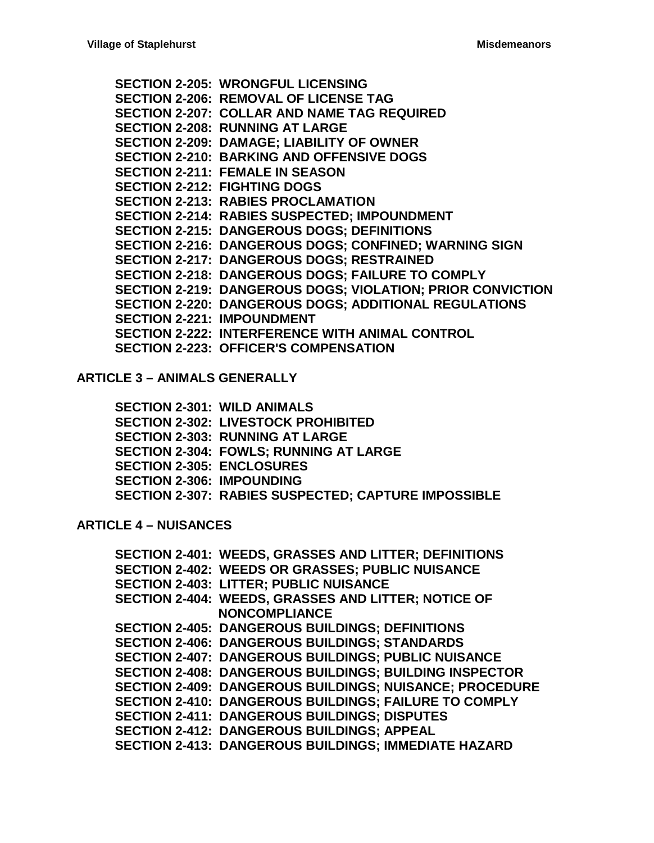**[SECTION 2-205: WRONGFUL LICENSING](#page-13-1) [SECTION 2-206: REMOVAL OF LICENSE TAG](#page-13-2) [SECTION 2-207: COLLAR AND NAME TAG REQUIRED](#page-14-0) [SECTION 2-208: RUNNING AT LARGE](#page-14-1) [SECTION 2-209: DAMAGE; LIABILITY OF OWNER](#page-14-2) [SECTION 2-210: BARKING AND OFFENSIVE DOGS](#page-14-3) [SECTION 2-211: FEMALE IN SEASON](#page-14-4) [SECTION 2-212: FIGHTING DOGS](#page-15-0) [SECTION 2-213: RABIES PROCLAMATION](#page-15-1) [SECTION 2-214: RABIES SUSPECTED; IMPOUNDMENT](#page-15-2) [SECTION 2-215: DANGEROUS DOGS; DEFINITIONS](#page-15-3) [SECTION 2-216: DANGEROUS DOGS; CONFINED; WARNING SIGN](#page-16-0) [SECTION 2-217: DANGEROUS DOGS; RESTRAINED](#page-16-1) [SECTION 2-218: DANGEROUS DOGS; FAILURE TO COMPLY](#page-16-2) [SECTION 2-219: DANGEROUS DOGS; VIOLATION; PRIOR CONVICTION](#page-17-0) [SECTION 2-220: DANGEROUS DOGS; ADDITIONAL REGULATIONS](#page-17-1) [SECTION 2-221: IMPOUNDMENT](#page-17-2) [SECTION 2-222: INTERFERENCE WITH ANIMAL CONTROL](#page-18-0) [SECTION 2-223: OFFICER'S COMPENSATION](#page-18-1)**

**ARTICLE 3 – [ANIMALS GENERALLY](#page-20-0)**

**[SECTION 2-301: WILD ANIMALS](#page-20-1) [SECTION 2-302: LIVESTOCK PROHIBITED](#page-20-2) [SECTION 2-303: RUNNING AT LARGE](#page-20-3) [SECTION 2-304: FOWLS; RUNNING](#page-20-4) AT LARGE [SECTION 2-305: ENCLOSURES](#page-20-5) [SECTION 2-306: IMPOUNDING](#page-20-6) [SECTION 2-307: RABIES SUSPECTED; CAPTURE IMPOSSIBLE](#page-20-7)**

## **[ARTICLE 4 –](#page-22-0) NUISANCES**

**[SECTION 2-401: WEEDS, GRASSES](#page-22-1) AND LITTER; DEFINITIONS [SECTION 2-402: WEEDS OR GRASSES; PUBLIC NUISANCE](#page-24-0) [SECTION 2-403: LITTER; PUBLIC](#page-24-1) NUISANCE [SECTION 2-404: WEEDS, GRASSES](#page-25-0) AND LITTER; NOTICE OF [NONCOMPLIANCE](#page-25-0) [SECTION 2-405: DANGEROUS BUILDINGS; DEFINITIONS](#page-25-1) [SECTION 2-406: DANGEROUS BUILDINGS; STANDARDS](#page-26-0) [SECTION 2-407: DANGEROUS BUILDINGS; PUBLIC NUISANCE](#page-27-0) [SECTION 2-408: DANGEROUS BUILDINGS; BUILDING INSPECTOR](#page-27-1) [SECTION 2-409: DANGEROUS BUILDINGS; NUISANCE; PROCEDURE](#page-27-2) [SECTION 2-410: DANGEROUS BUILDINGS; FAILURE TO COMPLY](#page-28-0) [SECTION 2-411: DANGEROUS BUILDINGS; DISPUTES](#page-28-1) [SECTION 2-412: DANGEROUS BUILDINGS; APPEAL](#page-29-0) [SECTION 2-413: DANGEROUS BUILDINGS; IMMEDIATE HAZARD](#page-29-1)**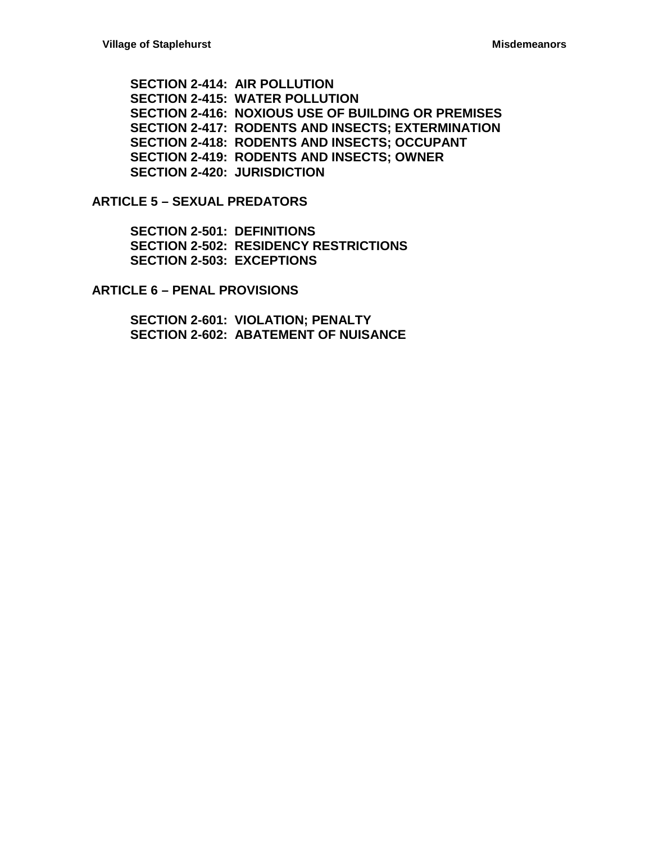**[SECTION 2-414: AIR POLLUTION](#page-29-2) [SECTION 2-415: WATER POLLUTION](#page-29-3) [SECTION 2-416: NOXIOUS USE OF](#page-30-0) BUILDING OR PREMISES [SECTION 2-417: RODENTS AND INSECTS; EXTERMINATION](#page-30-1) [SECTION 2-418: RODENTS AND INSECTS; OCCUPANT](#page-30-2) [SECTION 2-419: RODENTS AND INSECTS; OWNER](#page-30-3) [SECTION 2-420: JURISDICTION](#page-31-0)**

**ARTICLE 5 – [SEXUAL PREDATORS](#page-32-0)**

**[SECTION 2-501: DEFINITIONS](#page-32-1) [SECTION 2-502: RESIDENCY RESTRICTIONS](#page-32-2) [SECTION 2-503: EXCEPTIONS](#page-32-3)**

**ARTICLE 6 – [PENAL PROVISIONS](#page-34-0)**

**[SECTION 2-601: VIOLATION; PENALTY](#page-34-1) [SECTION 2-602: ABATEMENT OF NUISANCE](#page-34-2)**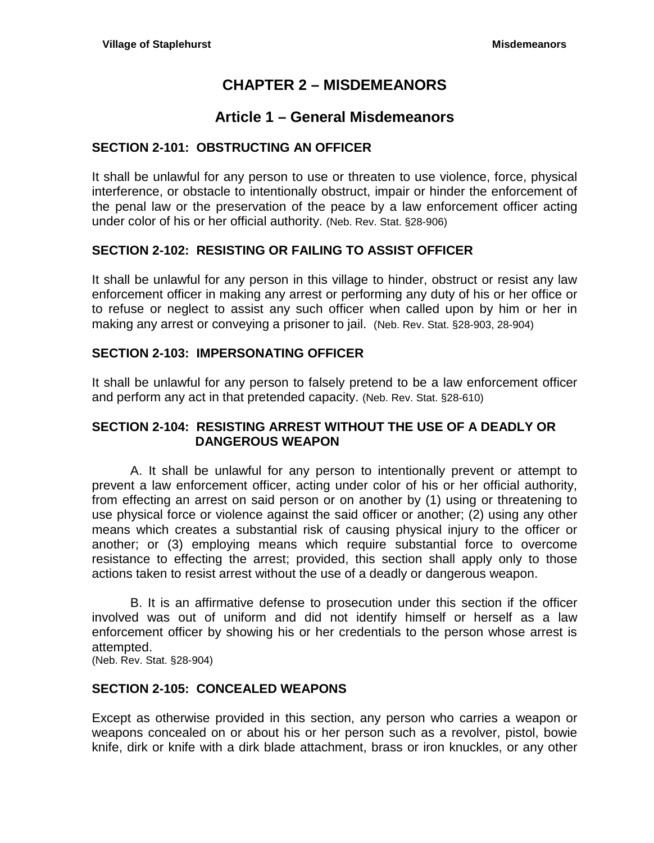# **CHAPTER 2 – MISDEMEANORS**

# **Article 1 – General Misdemeanors**

# <span id="page-4-2"></span><span id="page-4-1"></span><span id="page-4-0"></span>**SECTION 2-101: OBSTRUCTING AN OFFICER**

It shall be unlawful for any person to use or threaten to use violence, force, physical interference, or obstacle to intentionally obstruct, impair or hinder the enforcement of the penal law or the preservation of the peace by a law enforcement officer acting under color of his or her official authority. (Neb. Rev. Stat. §28-906)

## <span id="page-4-3"></span>**SECTION 2-102: RESISTING OR FAILING TO ASSIST OFFICER**

It shall be unlawful for any person in this village to hinder, obstruct or resist any law enforcement officer in making any arrest or performing any duty of his or her office or to refuse or neglect to assist any such officer when called upon by him or her in making any arrest or conveying a prisoner to jail. (Neb. Rev. Stat. §28-903, 28-904)

# <span id="page-4-4"></span>**SECTION 2-103: IMPERSONATING OFFICER**

It shall be unlawful for any person to falsely pretend to be a law enforcement officer and perform any act in that pretended capacity. (Neb. Rev. Stat. §28-610)

## <span id="page-4-5"></span>**SECTION 2-104: RESISTING ARREST WITHOUT THE USE OF A DEADLY OR DANGEROUS WEAPON**

A. It shall be unlawful for any person to intentionally prevent or attempt to prevent a law enforcement officer, acting under color of his or her official authority, from effecting an arrest on said person or on another by (1) using or threatening to use physical force or violence against the said officer or another; (2) using any other means which creates a substantial risk of causing physical injury to the officer or another; or (3) employing means which require substantial force to overcome resistance to effecting the arrest; provided, this section shall apply only to those actions taken to resist arrest without the use of a deadly or dangerous weapon.

B. It is an affirmative defense to prosecution under this section if the officer involved was out of uniform and did not identify himself or herself as a law enforcement officer by showing his or her credentials to the person whose arrest is attempted.

(Neb. Rev. Stat. §28-904)

## <span id="page-4-6"></span>**SECTION 2-105: CONCEALED WEAPONS**

Except as otherwise provided in this section, any person who carries a weapon or weapons concealed on or about his or her person such as a revolver, pistol, bowie knife, dirk or knife with a dirk blade attachment, brass or iron knuckles, or any other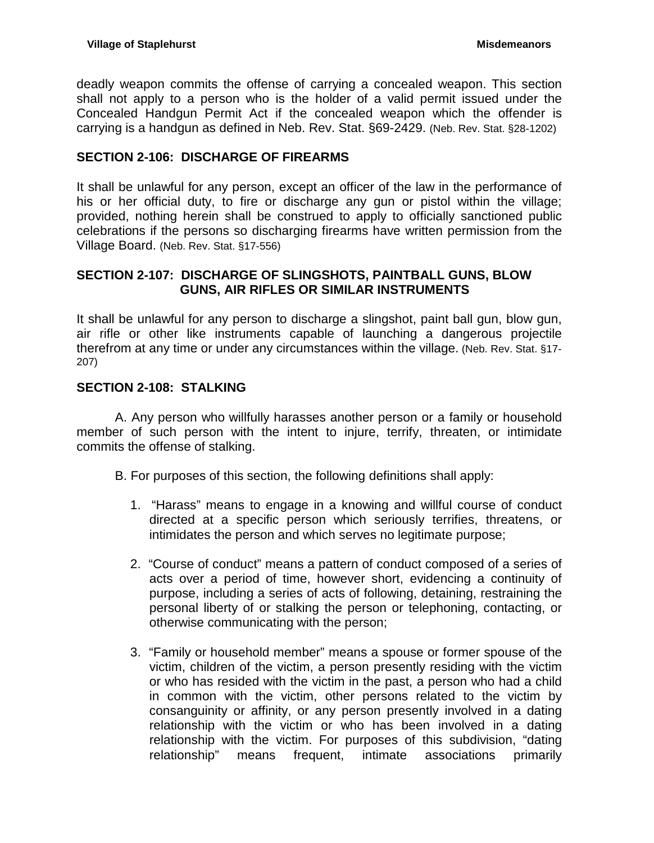deadly weapon commits the offense of carrying a concealed weapon. This section shall not apply to a person who is the holder of a valid permit issued under the Concealed Handgun Permit Act if the concealed weapon which the offender is carrying is a handgun as defined in Neb. Rev. Stat. §69-2429. (Neb. Rev. Stat. §28-1202)

# <span id="page-5-0"></span>**SECTION 2-106: DISCHARGE OF FIREARMS**

It shall be unlawful for any person, except an officer of the law in the performance of his or her official duty, to fire or discharge any gun or pistol within the village; provided, nothing herein shall be construed to apply to officially sanctioned public celebrations if the persons so discharging firearms have written permission from the Village Board. (Neb. Rev. Stat. §17-556)

## <span id="page-5-1"></span>**SECTION 2-107: DISCHARGE OF SLINGSHOTS, PAINTBALL GUNS, BLOW GUNS, AIR RIFLES OR SIMILAR INSTRUMENTS**

It shall be unlawful for any person to discharge a slingshot, paint ball gun, blow gun, air rifle or other like instruments capable of launching a dangerous projectile therefrom at any time or under any circumstances within the village. (Neb. Rev. Stat. §17- 207)

## <span id="page-5-2"></span>**SECTION 2-108: STALKING**

A. Any person who willfully harasses another person or a family or household member of such person with the intent to injure, terrify, threaten, or intimidate commits the offense of stalking.

B. For purposes of this section, the following definitions shall apply:

- 1. "Harass" means to engage in a knowing and willful course of conduct directed at a specific person which seriously terrifies, threatens, or intimidates the person and which serves no legitimate purpose;
- 2. "Course of conduct" means a pattern of conduct composed of a series of acts over a period of time, however short, evidencing a continuity of purpose, including a series of acts of following, detaining, restraining the personal liberty of or stalking the person or telephoning, contacting, or otherwise communicating with the person;
- 3. "Family or household member" means a spouse or former spouse of the victim, children of the victim, a person presently residing with the victim or who has resided with the victim in the past, a person who had a child in common with the victim, other persons related to the victim by consanguinity or affinity, or any person presently involved in a dating relationship with the victim or who has been involved in a dating relationship with the victim. For purposes of this subdivision, "dating relationship" means frequent, intimate associations primarily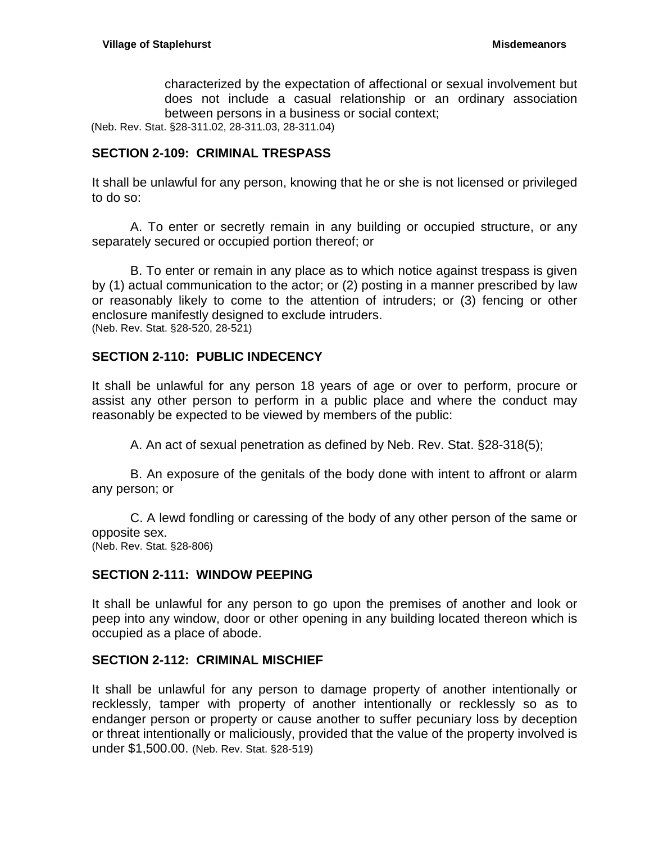characterized by the expectation of affectional or sexual involvement but does not include a casual relationship or an ordinary association between persons in a business or social context;

(Neb. Rev. Stat. §28-311.02, 28-311.03, 28-311.04)

# <span id="page-6-0"></span>**SECTION 2-109: CRIMINAL TRESPASS**

It shall be unlawful for any person, knowing that he or she is not licensed or privileged to do so:

A. To enter or secretly remain in any building or occupied structure, or any separately secured or occupied portion thereof; or

B. To enter or remain in any place as to which notice against trespass is given by (1) actual communication to the actor; or (2) posting in a manner prescribed by law or reasonably likely to come to the attention of intruders; or (3) fencing or other enclosure manifestly designed to exclude intruders. (Neb. Rev. Stat. §28-520, 28-521)

## <span id="page-6-1"></span>**SECTION 2-110: PUBLIC INDECENCY**

It shall be unlawful for any person 18 years of age or over to perform, procure or assist any other person to perform in a public place and where the conduct may reasonably be expected to be viewed by members of the public:

A. An act of sexual penetration as defined by Neb. Rev. Stat. §28-318(5);

B. An exposure of the genitals of the body done with intent to affront or alarm any person; or

C. A lewd fondling or caressing of the body of any other person of the same or opposite sex. (Neb. Rev. Stat. §28-806)

# <span id="page-6-2"></span>**SECTION 2-111: WINDOW PEEPING**

It shall be unlawful for any person to go upon the premises of another and look or peep into any window, door or other opening in any building located thereon which is occupied as a place of abode.

## <span id="page-6-3"></span>**SECTION 2-112: CRIMINAL MISCHIEF**

It shall be unlawful for any person to damage property of another intentionally or recklessly, tamper with property of another intentionally or recklessly so as to endanger person or property or cause another to suffer pecuniary loss by deception or threat intentionally or maliciously, provided that the value of the property involved is under \$1,500.00. (Neb. Rev. Stat. §28-519)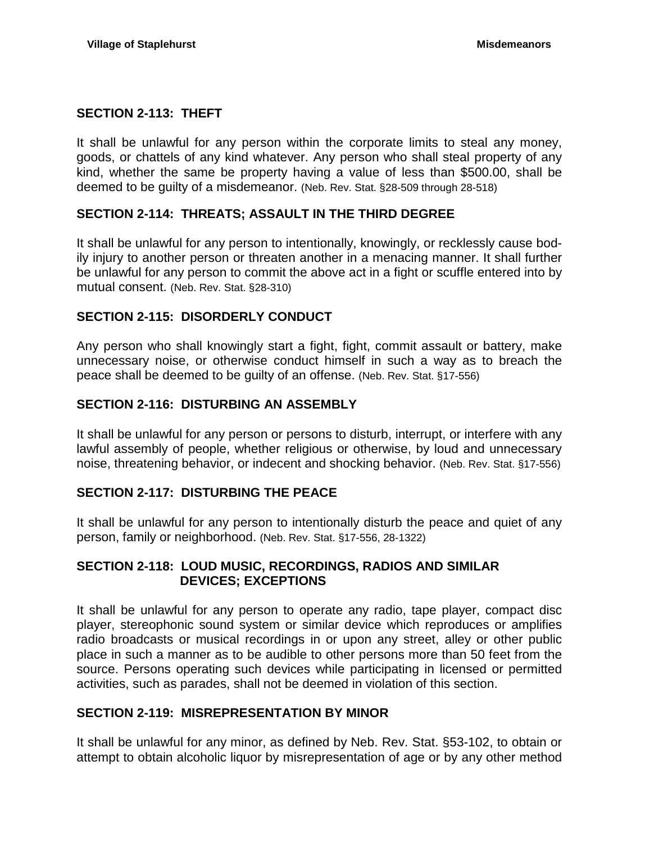## <span id="page-7-0"></span>**SECTION 2-113: THEFT**

It shall be unlawful for any person within the corporate limits to steal any money, goods, or chattels of any kind whatever. Any person who shall steal property of any kind, whether the same be property having a value of less than \$500.00, shall be deemed to be guilty of a misdemeanor. (Neb. Rev. Stat. §28-509 through 28-518)

## <span id="page-7-1"></span>**SECTION 2-114: THREATS; ASSAULT IN THE THIRD DEGREE**

It shall be unlawful for any person to intentionally, knowingly, or recklessly cause bodily injury to another person or threaten another in a menacing manner. It shall further be unlawful for any person to commit the above act in a fight or scuffle entered into by mutual consent. (Neb. Rev. Stat. §28-310)

# <span id="page-7-2"></span>**SECTION 2-115: DISORDERLY CONDUCT**

Any person who shall knowingly start a fight, fight, commit assault or battery, make unnecessary noise, or otherwise conduct himself in such a way as to breach the peace shall be deemed to be guilty of an offense. (Neb. Rev. Stat. §17-556)

# <span id="page-7-3"></span>**SECTION 2-116: DISTURBING AN ASSEMBLY**

It shall be unlawful for any person or persons to disturb, interrupt, or interfere with any lawful assembly of people, whether religious or otherwise, by loud and unnecessary noise, threatening behavior, or indecent and shocking behavior. (Neb. Rev. Stat. §17-556)

## <span id="page-7-4"></span>**SECTION 2-117: DISTURBING THE PEACE**

It shall be unlawful for any person to intentionally disturb the peace and quiet of any person, family or neighborhood. (Neb. Rev. Stat. §17-556, 28-1322)

## <span id="page-7-5"></span>**SECTION 2-118: LOUD MUSIC, RECORDINGS, RADIOS AND SIMILAR DEVICES; EXCEPTIONS**

It shall be unlawful for any person to operate any radio, tape player, compact disc player, stereophonic sound system or similar device which reproduces or amplifies radio broadcasts or musical recordings in or upon any street, alley or other public place in such a manner as to be audible to other persons more than 50 feet from the source. Persons operating such devices while participating in licensed or permitted activities, such as parades, shall not be deemed in violation of this section.

# <span id="page-7-6"></span>**SECTION 2-119: MISREPRESENTATION BY MINOR**

It shall be unlawful for any minor, as defined by Neb. Rev. Stat. §53-102, to obtain or attempt to obtain alcoholic liquor by misrepresentation of age or by any other method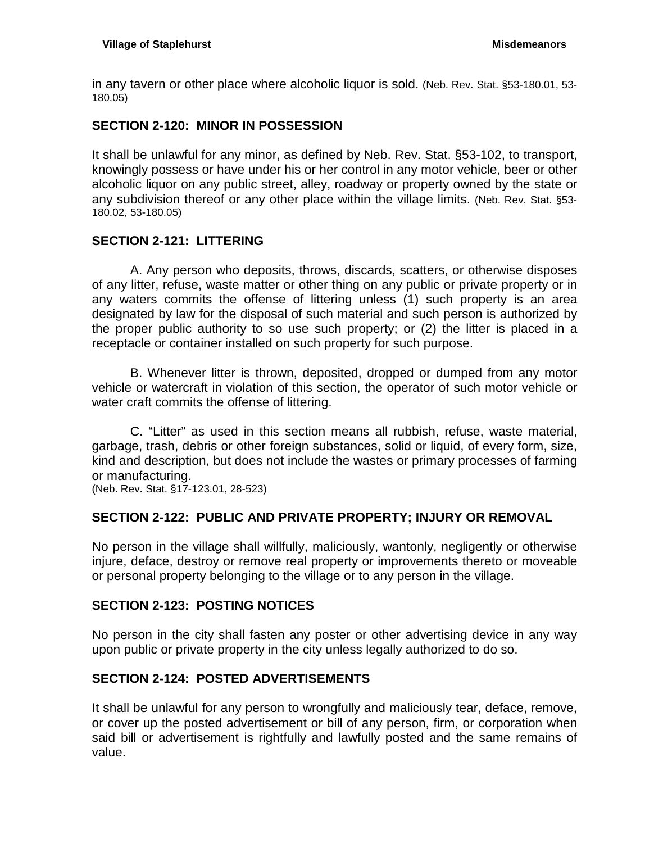in any tavern or other place where alcoholic liquor is sold. (Neb. Rev. Stat. §53-180.01, 53- 180.05)

# <span id="page-8-0"></span>**SECTION 2-120: MINOR IN POSSESSION**

It shall be unlawful for any minor, as defined by Neb. Rev. Stat. §53-102, to transport, knowingly possess or have under his or her control in any motor vehicle, beer or other alcoholic liquor on any public street, alley, roadway or property owned by the state or any subdivision thereof or any other place within the village limits. (Neb. Rev. Stat. §53- 180.02, 53-180.05)

# <span id="page-8-1"></span>**SECTION 2-121: LITTERING**

A. Any person who deposits, throws, discards, scatters, or otherwise disposes of any litter, refuse, waste matter or other thing on any public or private property or in any waters commits the offense of littering unless (1) such property is an area designated by law for the disposal of such material and such person is authorized by the proper public authority to so use such property; or (2) the litter is placed in a receptacle or container installed on such property for such purpose.

B. Whenever litter is thrown, deposited, dropped or dumped from any motor vehicle or watercraft in violation of this section, the operator of such motor vehicle or water craft commits the offense of littering.

C. "Litter" as used in this section means all rubbish, refuse, waste material, garbage, trash, debris or other foreign substances, solid or liquid, of every form, size, kind and description, but does not include the wastes or primary processes of farming or manufacturing.

(Neb. Rev. Stat. §17-123.01, 28-523)

# <span id="page-8-2"></span>**SECTION 2-122: PUBLIC AND PRIVATE PROPERTY; INJURY OR REMOVAL**

No person in the village shall willfully, maliciously, wantonly, negligently or otherwise injure, deface, destroy or remove real property or improvements thereto or moveable or personal property belonging to the village or to any person in the village.

## <span id="page-8-3"></span>**SECTION 2-123: POSTING NOTICES**

No person in the city shall fasten any poster or other advertising device in any way upon public or private property in the city unless legally authorized to do so.

# <span id="page-8-4"></span>**SECTION 2-124: POSTED ADVERTISEMENTS**

It shall be unlawful for any person to wrongfully and maliciously tear, deface, remove, or cover up the posted advertisement or bill of any person, firm, or corporation when said bill or advertisement is rightfully and lawfully posted and the same remains of value.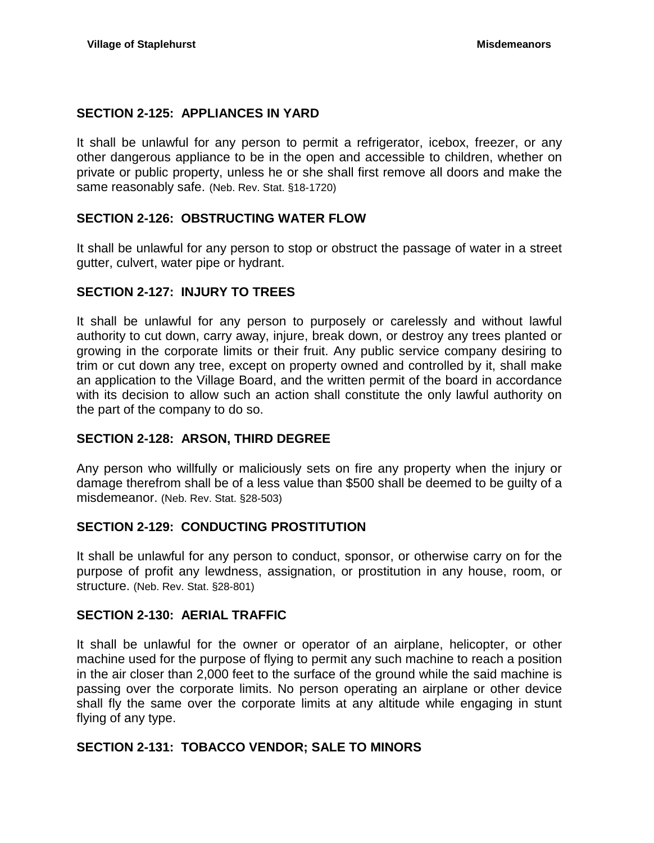# <span id="page-9-0"></span>**SECTION 2-125: APPLIANCES IN YARD**

It shall be unlawful for any person to permit a refrigerator, icebox, freezer, or any other dangerous appliance to be in the open and accessible to children, whether on private or public property, unless he or she shall first remove all doors and make the same reasonably safe. (Neb. Rev. Stat. §18-1720)

# <span id="page-9-1"></span>**SECTION 2-126: OBSTRUCTING WATER FLOW**

It shall be unlawful for any person to stop or obstruct the passage of water in a street gutter, culvert, water pipe or hydrant.

# <span id="page-9-2"></span>**SECTION 2-127: INJURY TO TREES**

It shall be unlawful for any person to purposely or carelessly and without lawful authority to cut down, carry away, injure, break down, or destroy any trees planted or growing in the corporate limits or their fruit. Any public service company desiring to trim or cut down any tree, except on property owned and controlled by it, shall make an application to the Village Board, and the written permit of the board in accordance with its decision to allow such an action shall constitute the only lawful authority on the part of the company to do so.

## <span id="page-9-3"></span>**SECTION 2-128: ARSON, THIRD DEGREE**

Any person who willfully or maliciously sets on fire any property when the injury or damage therefrom shall be of a less value than \$500 shall be deemed to be guilty of a misdemeanor. (Neb. Rev. Stat. §28-503)

## <span id="page-9-4"></span>**SECTION 2-129: CONDUCTING PROSTITUTION**

It shall be unlawful for any person to conduct, sponsor, or otherwise carry on for the purpose of profit any lewdness, assignation, or prostitution in any house, room, or structure. (Neb. Rev. Stat. §28-801)

## <span id="page-9-5"></span>**SECTION 2-130: AERIAL TRAFFIC**

It shall be unlawful for the owner or operator of an airplane, helicopter, or other machine used for the purpose of flying to permit any such machine to reach a position in the air closer than 2,000 feet to the surface of the ground while the said machine is passing over the corporate limits. No person operating an airplane or other device shall fly the same over the corporate limits at any altitude while engaging in stunt flying of any type.

## <span id="page-9-6"></span>**SECTION 2-131: TOBACCO VENDOR; SALE TO MINORS**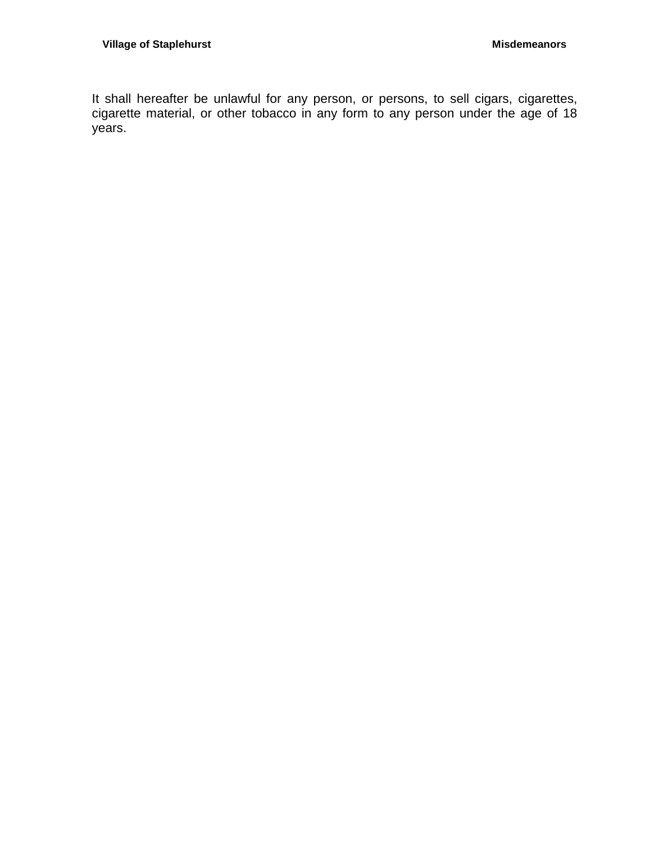It shall hereafter be unlawful for any person, or persons, to sell cigars, cigarettes, cigarette material, or other tobacco in any form to any person under the age of 18 years.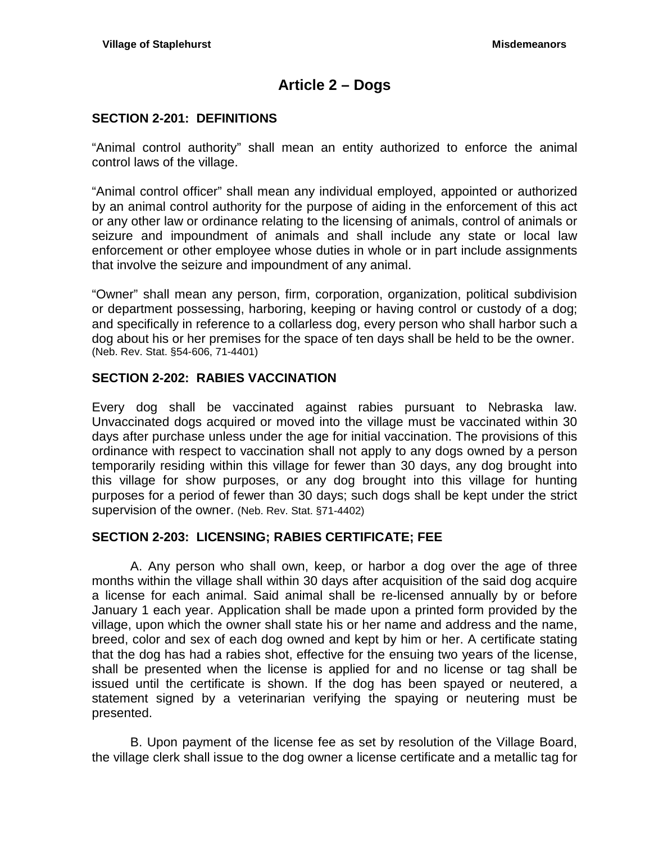# **Article 2 – Dogs**

## <span id="page-12-1"></span><span id="page-12-0"></span>**SECTION 2-201: DEFINITIONS**

"Animal control authority" shall mean an entity authorized to enforce the animal control laws of the village.

"Animal control officer" shall mean any individual employed, appointed or authorized by an animal control authority for the purpose of aiding in the enforcement of this act or any other law or ordinance relating to the licensing of animals, control of animals or seizure and impoundment of animals and shall include any state or local law enforcement or other employee whose duties in whole or in part include assignments that involve the seizure and impoundment of any animal.

"Owner" shall mean any person, firm, corporation, organization, political subdivision or department possessing, harboring, keeping or having control or custody of a dog; and specifically in reference to a collarless dog, every person who shall harbor such a dog about his or her premises for the space of ten days shall be held to be the owner. (Neb. Rev. Stat. §54-606, 71-4401)

## <span id="page-12-2"></span>**SECTION 2-202: RABIES VACCINATION**

Every dog shall be vaccinated against rabies pursuant to Nebraska law. Unvaccinated dogs acquired or moved into the village must be vaccinated within 30 days after purchase unless under the age for initial vaccination. The provisions of this ordinance with respect to vaccination shall not apply to any dogs owned by a person temporarily residing within this village for fewer than 30 days, any dog brought into this village for show purposes, or any dog brought into this village for hunting purposes for a period of fewer than 30 days; such dogs shall be kept under the strict supervision of the owner. (Neb. Rev. Stat. §71-4402)

## <span id="page-12-3"></span>**SECTION 2-203: LICENSING; RABIES CERTIFICATE; FEE**

A. Any person who shall own, keep, or harbor a dog over the age of three months within the village shall within 30 days after acquisition of the said dog acquire a license for each animal. Said animal shall be re-licensed annually by or before January 1 each year. Application shall be made upon a printed form provided by the village, upon which the owner shall state his or her name and address and the name, breed, color and sex of each dog owned and kept by him or her. A certificate stating that the dog has had a rabies shot, effective for the ensuing two years of the license, shall be presented when the license is applied for and no license or tag shall be issued until the certificate is shown. If the dog has been spayed or neutered, a statement signed by a veterinarian verifying the spaying or neutering must be presented.

B. Upon payment of the license fee as set by resolution of the Village Board, the village clerk shall issue to the dog owner a license certificate and a metallic tag for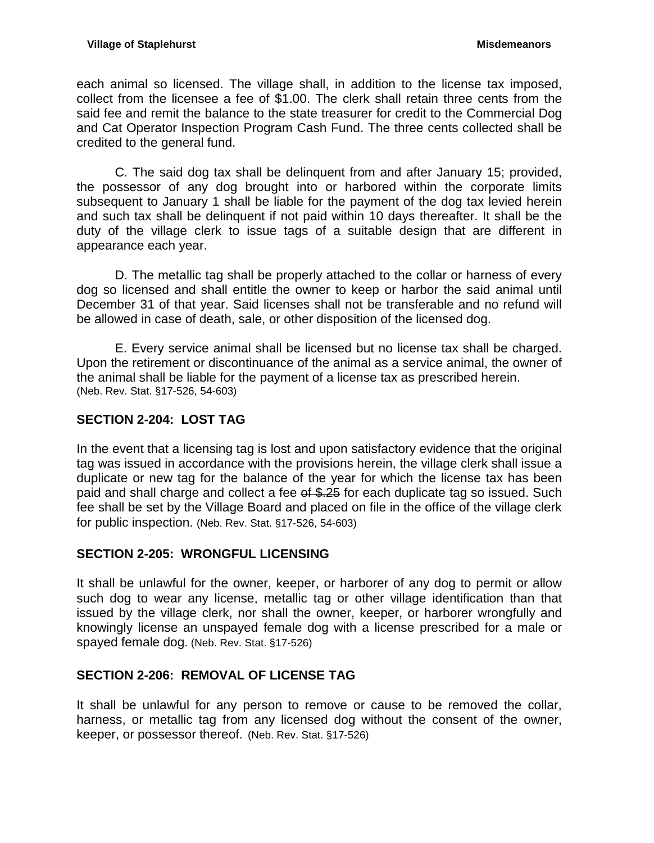each animal so licensed. The village shall, in addition to the license tax imposed, collect from the licensee a fee of \$1.00. The clerk shall retain three cents from the said fee and remit the balance to the state treasurer for credit to the Commercial Dog and Cat Operator Inspection Program Cash Fund. The three cents collected shall be credited to the general fund.

C. The said dog tax shall be delinquent from and after January 15; provided, the possessor of any dog brought into or harbored within the corporate limits subsequent to January 1 shall be liable for the payment of the dog tax levied herein and such tax shall be delinquent if not paid within 10 days thereafter. It shall be the duty of the village clerk to issue tags of a suitable design that are different in appearance each year.

D. The metallic tag shall be properly attached to the collar or harness of every dog so licensed and shall entitle the owner to keep or harbor the said animal until December 31 of that year. Said licenses shall not be transferable and no refund will be allowed in case of death, sale, or other disposition of the licensed dog.

E. Every service animal shall be licensed but no license tax shall be charged. Upon the retirement or discontinuance of the animal as a service animal, the owner of the animal shall be liable for the payment of a license tax as prescribed herein. (Neb. Rev. Stat. §17-526, 54-603)

# <span id="page-13-0"></span>**SECTION 2-204: LOST TAG**

In the event that a licensing tag is lost and upon satisfactory evidence that the original tag was issued in accordance with the provisions herein, the village clerk shall issue a duplicate or new tag for the balance of the year for which the license tax has been paid and shall charge and collect a fee of \$.25 for each duplicate tag so issued. Such fee shall be set by the Village Board and placed on file in the office of the village clerk for public inspection. (Neb. Rev. Stat. §17-526, 54-603)

# <span id="page-13-1"></span>**SECTION 2-205: WRONGFUL LICENSING**

It shall be unlawful for the owner, keeper, or harborer of any dog to permit or allow such dog to wear any license, metallic tag or other village identification than that issued by the village clerk, nor shall the owner, keeper, or harborer wrongfully and knowingly license an unspayed female dog with a license prescribed for a male or spayed female dog. (Neb. Rev. Stat. §17-526)

# <span id="page-13-2"></span>**SECTION 2-206: REMOVAL OF LICENSE TAG**

It shall be unlawful for any person to remove or cause to be removed the collar, harness, or metallic tag from any licensed dog without the consent of the owner, keeper, or possessor thereof. (Neb. Rev. Stat. §17-526)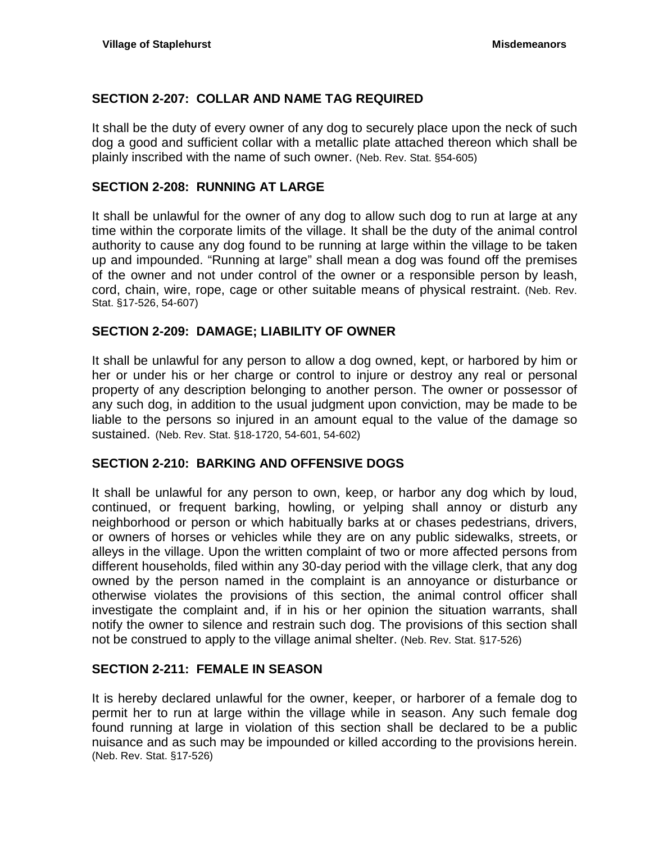# <span id="page-14-0"></span>**SECTION 2-207: COLLAR AND NAME TAG REQUIRED**

It shall be the duty of every owner of any dog to securely place upon the neck of such dog a good and sufficient collar with a metallic plate attached thereon which shall be plainly inscribed with the name of such owner. (Neb. Rev. Stat. §54-605)

## <span id="page-14-1"></span>**SECTION 2-208: RUNNING AT LARGE**

It shall be unlawful for the owner of any dog to allow such dog to run at large at any time within the corporate limits of the village. It shall be the duty of the animal control authority to cause any dog found to be running at large within the village to be taken up and impounded. "Running at large" shall mean a dog was found off the premises of the owner and not under control of the owner or a responsible person by leash, cord, chain, wire, rope, cage or other suitable means of physical restraint. (Neb. Rev. Stat. §17-526, 54-607)

## <span id="page-14-2"></span>**SECTION 2-209: DAMAGE; LIABILITY OF OWNER**

It shall be unlawful for any person to allow a dog owned, kept, or harbored by him or her or under his or her charge or control to injure or destroy any real or personal property of any description belonging to another person. The owner or possessor of any such dog, in addition to the usual judgment upon conviction, may be made to be liable to the persons so injured in an amount equal to the value of the damage so sustained. (Neb. Rev. Stat. §18-1720, 54-601, 54-602)

#### <span id="page-14-3"></span>**SECTION 2-210: BARKING AND OFFENSIVE DOGS**

It shall be unlawful for any person to own, keep, or harbor any dog which by loud, continued, or frequent barking, howling, or yelping shall annoy or disturb any neighborhood or person or which habitually barks at or chases pedestrians, drivers, or owners of horses or vehicles while they are on any public sidewalks, streets, or alleys in the village. Upon the written complaint of two or more affected persons from different households, filed within any 30-day period with the village clerk, that any dog owned by the person named in the complaint is an annoyance or disturbance or otherwise violates the provisions of this section, the animal control officer shall investigate the complaint and, if in his or her opinion the situation warrants, shall notify the owner to silence and restrain such dog. The provisions of this section shall not be construed to apply to the village animal shelter. (Neb. Rev. Stat. §17-526)

#### <span id="page-14-4"></span>**SECTION 2-211: FEMALE IN SEASON**

It is hereby declared unlawful for the owner, keeper, or harborer of a female dog to permit her to run at large within the village while in season. Any such female dog found running at large in violation of this section shall be declared to be a public nuisance and as such may be impounded or killed according to the provisions herein. (Neb. Rev. Stat. §17-526)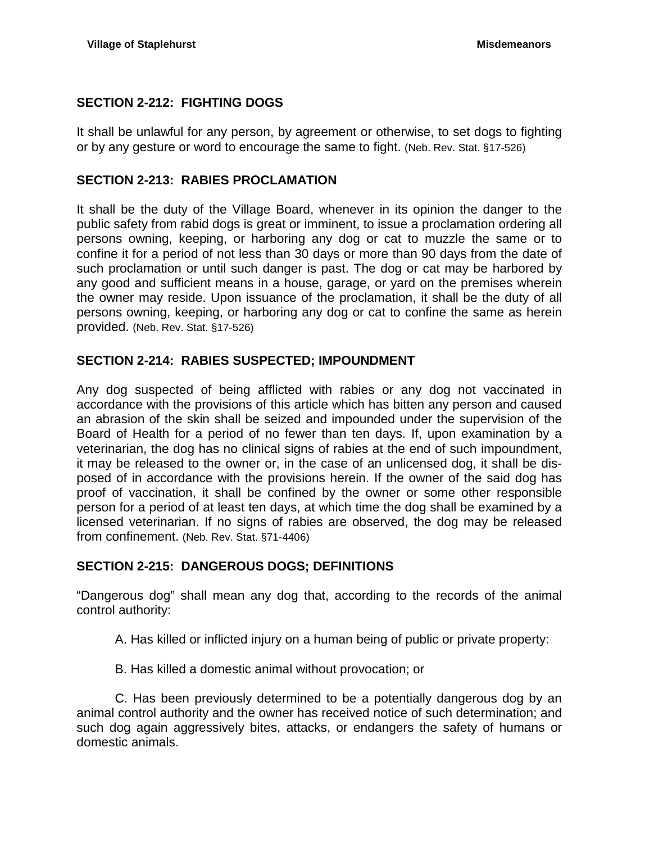# <span id="page-15-0"></span>**SECTION 2-212: FIGHTING DOGS**

It shall be unlawful for any person, by agreement or otherwise, to set dogs to fighting or by any gesture or word to encourage the same to fight. (Neb. Rev. Stat. §17-526)

## <span id="page-15-1"></span>**SECTION 2-213: RABIES PROCLAMATION**

It shall be the duty of the Village Board, whenever in its opinion the danger to the public safety from rabid dogs is great or imminent, to issue a proclamation ordering all persons owning, keeping, or harboring any dog or cat to muzzle the same or to confine it for a period of not less than 30 days or more than 90 days from the date of such proclamation or until such danger is past. The dog or cat may be harbored by any good and sufficient means in a house, garage, or yard on the premises wherein the owner may reside. Upon issuance of the proclamation, it shall be the duty of all persons owning, keeping, or harboring any dog or cat to confine the same as herein provided. (Neb. Rev. Stat. §17-526)

## <span id="page-15-2"></span>**SECTION 2-214: RABIES SUSPECTED; IMPOUNDMENT**

Any dog suspected of being afflicted with rabies or any dog not vaccinated in accordance with the provisions of this article which has bitten any person and caused an abrasion of the skin shall be seized and impounded under the supervision of the Board of Health for a period of no fewer than ten days. If, upon examination by a veterinarian, the dog has no clinical signs of rabies at the end of such impoundment, it may be released to the owner or, in the case of an unlicensed dog, it shall be disposed of in accordance with the provisions herein. If the owner of the said dog has proof of vaccination, it shall be confined by the owner or some other responsible person for a period of at least ten days, at which time the dog shall be examined by a licensed veterinarian. If no signs of rabies are observed, the dog may be released from confinement. (Neb. Rev. Stat. §71-4406)

# <span id="page-15-3"></span>**SECTION 2-215: DANGEROUS DOGS; DEFINITIONS**

"Dangerous dog" shall mean any dog that, according to the records of the animal control authority:

- A. Has killed or inflicted injury on a human being of public or private property:
- B. Has killed a domestic animal without provocation; or

C. Has been previously determined to be a potentially dangerous dog by an animal control authority and the owner has received notice of such determination; and such dog again aggressively bites, attacks, or endangers the safety of humans or domestic animals.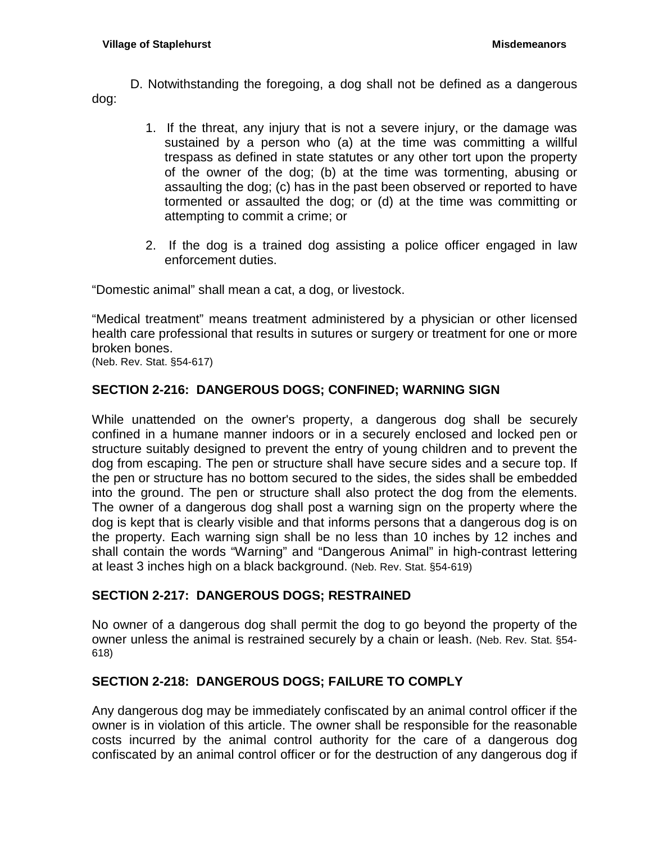D. Notwithstanding the foregoing, a dog shall not be defined as a dangerous dog:

- 1. If the threat, any injury that is not a severe injury, or the damage was sustained by a person who (a) at the time was committing a willful trespass as defined in state statutes or any other tort upon the property of the owner of the dog; (b) at the time was tormenting, abusing or assaulting the dog; (c) has in the past been observed or reported to have tormented or assaulted the dog; or (d) at the time was committing or attempting to commit a crime; or
- 2. If the dog is a trained dog assisting a police officer engaged in law enforcement duties.

"Domestic animal" shall mean a cat, a dog, or livestock.

"Medical treatment" means treatment administered by a physician or other licensed health care professional that results in sutures or surgery or treatment for one or more broken bones.

(Neb. Rev. Stat. §54-617)

# <span id="page-16-0"></span>**SECTION 2-216: DANGEROUS DOGS; CONFINED; WARNING SIGN**

While unattended on the owner's property, a dangerous dog shall be securely confined in a humane manner indoors or in a securely enclosed and locked pen or structure suitably designed to prevent the entry of young children and to prevent the dog from escaping. The pen or structure shall have secure sides and a secure top. If the pen or structure has no bottom secured to the sides, the sides shall be embedded into the ground. The pen or structure shall also protect the dog from the elements. The owner of a dangerous dog shall post a warning sign on the property where the dog is kept that is clearly visible and that informs persons that a dangerous dog is on the property. Each warning sign shall be no less than 10 inches by 12 inches and shall contain the words "Warning" and "Dangerous Animal" in high-contrast lettering at least 3 inches high on a black background. (Neb. Rev. Stat. §54-619)

# <span id="page-16-1"></span>**SECTION 2-217: DANGEROUS DOGS; RESTRAINED**

No owner of a dangerous dog shall permit the dog to go beyond the property of the owner unless the animal is restrained securely by a chain or leash. (Neb. Rev. Stat. §54- 618)

# <span id="page-16-2"></span>**SECTION 2-218: DANGEROUS DOGS; FAILURE TO COMPLY**

Any dangerous dog may be immediately confiscated by an animal control officer if the owner is in violation of this article. The owner shall be responsible for the reasonable costs incurred by the animal control authority for the care of a dangerous dog confiscated by an animal control officer or for the destruction of any dangerous dog if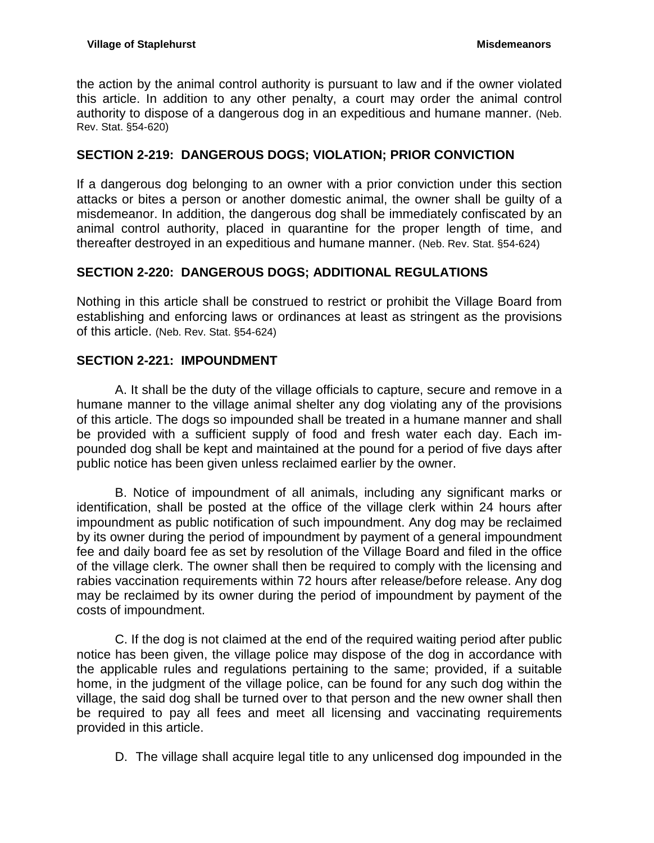the action by the animal control authority is pursuant to law and if the owner violated this article. In addition to any other penalty, a court may order the animal control authority to dispose of a dangerous dog in an expeditious and humane manner. (Neb. Rev. Stat. §54-620)

# <span id="page-17-0"></span>**SECTION 2-219: DANGEROUS DOGS; VIOLATION; PRIOR CONVICTION**

If a dangerous dog belonging to an owner with a prior conviction under this section attacks or bites a person or another domestic animal, the owner shall be guilty of a misdemeanor. In addition, the dangerous dog shall be immediately confiscated by an animal control authority, placed in quarantine for the proper length of time, and thereafter destroyed in an expeditious and humane manner. (Neb. Rev. Stat. §54-624)

# <span id="page-17-1"></span>**SECTION 2-220: DANGEROUS DOGS; ADDITIONAL REGULATIONS**

Nothing in this article shall be construed to restrict or prohibit the Village Board from establishing and enforcing laws or ordinances at least as stringent as the provisions of this article. (Neb. Rev. Stat. §54-624)

# <span id="page-17-2"></span>**SECTION 2-221: IMPOUNDMENT**

A. It shall be the duty of the village officials to capture, secure and remove in a humane manner to the village animal shelter any dog violating any of the provisions of this article. The dogs so impounded shall be treated in a humane manner and shall be provided with a sufficient supply of food and fresh water each day. Each impounded dog shall be kept and maintained at the pound for a period of five days after public notice has been given unless reclaimed earlier by the owner.

B. Notice of impoundment of all animals, including any significant marks or identification, shall be posted at the office of the village clerk within 24 hours after impoundment as public notification of such impoundment. Any dog may be reclaimed by its owner during the period of impoundment by payment of a general impoundment fee and daily board fee as set by resolution of the Village Board and filed in the office of the village clerk. The owner shall then be required to comply with the licensing and rabies vaccination requirements within 72 hours after release/before release. Any dog may be reclaimed by its owner during the period of impoundment by payment of the costs of impoundment.

C. If the dog is not claimed at the end of the required waiting period after public notice has been given, the village police may dispose of the dog in accordance with the applicable rules and regulations pertaining to the same; provided, if a suitable home, in the judgment of the village police, can be found for any such dog within the village, the said dog shall be turned over to that person and the new owner shall then be required to pay all fees and meet all licensing and vaccinating requirements provided in this article.

D. The village shall acquire legal title to any unlicensed dog impounded in the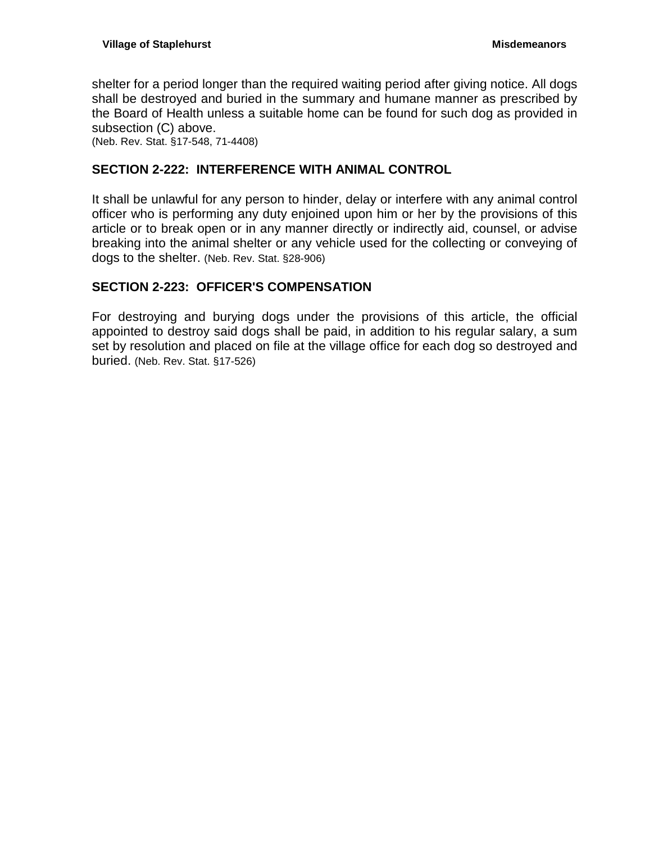shelter for a period longer than the required waiting period after giving notice. All dogs shall be destroyed and buried in the summary and humane manner as prescribed by the Board of Health unless a suitable home can be found for such dog as provided in subsection (C) above.

(Neb. Rev. Stat. §17-548, 71-4408)

## <span id="page-18-0"></span>**SECTION 2-222: INTERFERENCE WITH ANIMAL CONTROL**

It shall be unlawful for any person to hinder, delay or interfere with any animal control officer who is performing any duty enjoined upon him or her by the provisions of this article or to break open or in any manner directly or indirectly aid, counsel, or advise breaking into the animal shelter or any vehicle used for the collecting or conveying of dogs to the shelter. (Neb. Rev. Stat. §28-906)

# <span id="page-18-1"></span>**SECTION 2-223: OFFICER'S COMPENSATION**

For destroying and burying dogs under the provisions of this article, the official appointed to destroy said dogs shall be paid, in addition to his regular salary, a sum set by resolution and placed on file at the village office for each dog so destroyed and buried. (Neb. Rev. Stat. §17-526)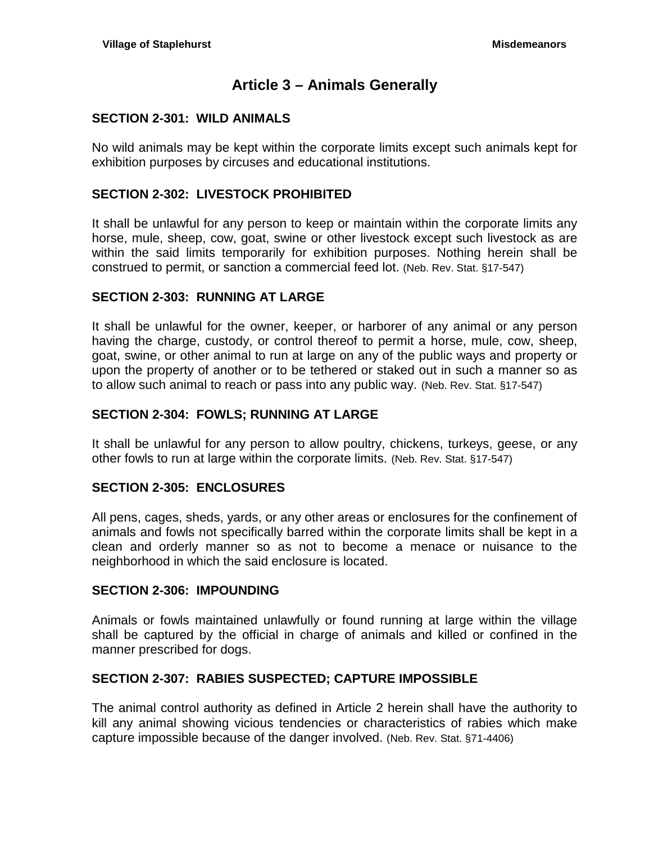# **Article 3 – Animals Generally**

#### <span id="page-20-1"></span><span id="page-20-0"></span>**SECTION 2-301: WILD ANIMALS**

No wild animals may be kept within the corporate limits except such animals kept for exhibition purposes by circuses and educational institutions.

#### <span id="page-20-2"></span>**SECTION 2-302: LIVESTOCK PROHIBITED**

It shall be unlawful for any person to keep or maintain within the corporate limits any horse, mule, sheep, cow, goat, swine or other livestock except such livestock as are within the said limits temporarily for exhibition purposes. Nothing herein shall be construed to permit, or sanction a commercial feed lot. (Neb. Rev. Stat. §17-547)

#### <span id="page-20-3"></span>**SECTION 2-303: RUNNING AT LARGE**

It shall be unlawful for the owner, keeper, or harborer of any animal or any person having the charge, custody, or control thereof to permit a horse, mule, cow, sheep, goat, swine, or other animal to run at large on any of the public ways and property or upon the property of another or to be tethered or staked out in such a manner so as to allow such animal to reach or pass into any public way. (Neb. Rev. Stat. §17-547)

#### <span id="page-20-4"></span>**SECTION 2-304: FOWLS; RUNNING AT LARGE**

It shall be unlawful for any person to allow poultry, chickens, turkeys, geese, or any other fowls to run at large within the corporate limits. (Neb. Rev. Stat. §17-547)

#### <span id="page-20-5"></span>**SECTION 2-305: ENCLOSURES**

All pens, cages, sheds, yards, or any other areas or enclosures for the confinement of animals and fowls not specifically barred within the corporate limits shall be kept in a clean and orderly manner so as not to become a menace or nuisance to the neighborhood in which the said enclosure is located.

#### <span id="page-20-6"></span>**SECTION 2-306: IMPOUNDING**

Animals or fowls maintained unlawfully or found running at large within the village shall be captured by the official in charge of animals and killed or confined in the manner prescribed for dogs.

## <span id="page-20-7"></span>**SECTION 2-307: RABIES SUSPECTED; CAPTURE IMPOSSIBLE**

The animal control authority as defined in Article 2 herein shall have the authority to kill any animal showing vicious tendencies or characteristics of rabies which make capture impossible because of the danger involved. (Neb. Rev. Stat. §71-4406)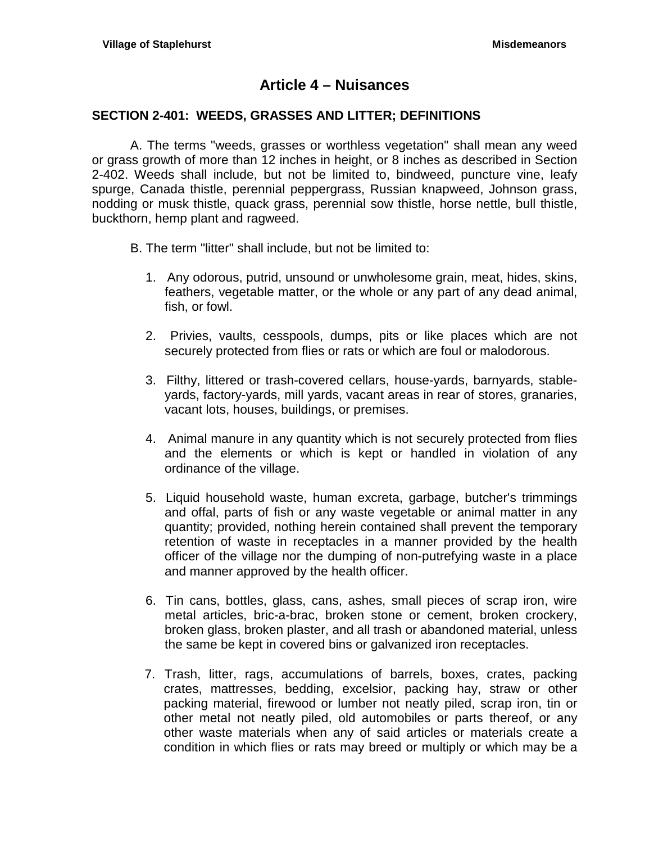# **Article 4 – Nuisances**

#### <span id="page-22-1"></span><span id="page-22-0"></span>**SECTION 2-401: WEEDS, GRASSES AND LITTER; DEFINITIONS**

A. The terms "weeds, grasses or worthless vegetation" shall mean any weed or grass growth of more than 12 inches in height, or 8 inches as described in Section 2-402. Weeds shall include, but not be limited to, bindweed, puncture vine, leafy spurge, Canada thistle, perennial peppergrass, Russian knapweed, Johnson grass, nodding or musk thistle, quack grass, perennial sow thistle, horse nettle, bull thistle, buckthorn, hemp plant and ragweed.

- B. The term "litter" shall include, but not be limited to:
	- 1. Any odorous, putrid, unsound or unwholesome grain, meat, hides, skins, feathers, vegetable matter, or the whole or any part of any dead animal, fish, or fowl.
	- 2. Privies, vaults, cesspools, dumps, pits or like places which are not securely protected from flies or rats or which are foul or malodorous.
	- 3. Filthy, littered or trash-covered cellars, house-yards, barnyards, stableyards, factory-yards, mill yards, vacant areas in rear of stores, granaries, vacant lots, houses, buildings, or premises.
	- 4. Animal manure in any quantity which is not securely protected from flies and the elements or which is kept or handled in violation of any ordinance of the village.
	- 5. Liquid household waste, human excreta, garbage, butcher's trimmings and offal, parts of fish or any waste vegetable or animal matter in any quantity; provided, nothing herein contained shall prevent the temporary retention of waste in receptacles in a manner provided by the health officer of the village nor the dumping of non-putrefying waste in a place and manner approved by the health officer.
	- 6. Tin cans, bottles, glass, cans, ashes, small pieces of scrap iron, wire metal articles, bric-a-brac, broken stone or cement, broken crockery, broken glass, broken plaster, and all trash or abandoned material, unless the same be kept in covered bins or galvanized iron receptacles.
	- 7. Trash, litter, rags, accumulations of barrels, boxes, crates, packing crates, mattresses, bedding, excelsior, packing hay, straw or other packing material, firewood or lumber not neatly piled, scrap iron, tin or other metal not neatly piled, old automobiles or parts thereof, or any other waste materials when any of said articles or materials create a condition in which flies or rats may breed or multiply or which may be a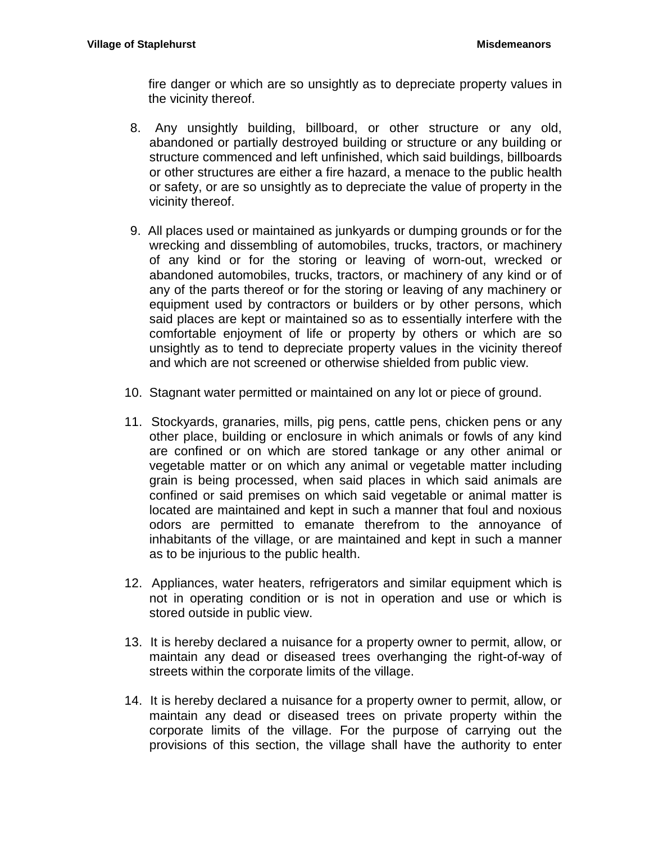fire danger or which are so unsightly as to depreciate property values in the vicinity thereof.

- 8. Any unsightly building, billboard, or other structure or any old, abandoned or partially destroyed building or structure or any building or structure commenced and left unfinished, which said buildings, billboards or other structures are either a fire hazard, a menace to the public health or safety, or are so unsightly as to depreciate the value of property in the vicinity thereof.
- 9. All places used or maintained as junkyards or dumping grounds or for the wrecking and dissembling of automobiles, trucks, tractors, or machinery of any kind or for the storing or leaving of worn-out, wrecked or abandoned automobiles, trucks, tractors, or machinery of any kind or of any of the parts thereof or for the storing or leaving of any machinery or equipment used by contractors or builders or by other persons, which said places are kept or maintained so as to essentially interfere with the comfortable enjoyment of life or property by others or which are so unsightly as to tend to depreciate property values in the vicinity thereof and which are not screened or otherwise shielded from public view.
- 10. Stagnant water permitted or maintained on any lot or piece of ground.
- 11. Stockyards, granaries, mills, pig pens, cattle pens, chicken pens or any other place, building or enclosure in which animals or fowls of any kind are confined or on which are stored tankage or any other animal or vegetable matter or on which any animal or vegetable matter including grain is being processed, when said places in which said animals are confined or said premises on which said vegetable or animal matter is located are maintained and kept in such a manner that foul and noxious odors are permitted to emanate therefrom to the annoyance of inhabitants of the village, or are maintained and kept in such a manner as to be injurious to the public health.
- 12. Appliances, water heaters, refrigerators and similar equipment which is not in operating condition or is not in operation and use or which is stored outside in public view.
- 13. It is hereby declared a nuisance for a property owner to permit, allow, or maintain any dead or diseased trees overhanging the right-of-way of streets within the corporate limits of the village.
- 14. It is hereby declared a nuisance for a property owner to permit, allow, or maintain any dead or diseased trees on private property within the corporate limits of the village. For the purpose of carrying out the provisions of this section, the village shall have the authority to enter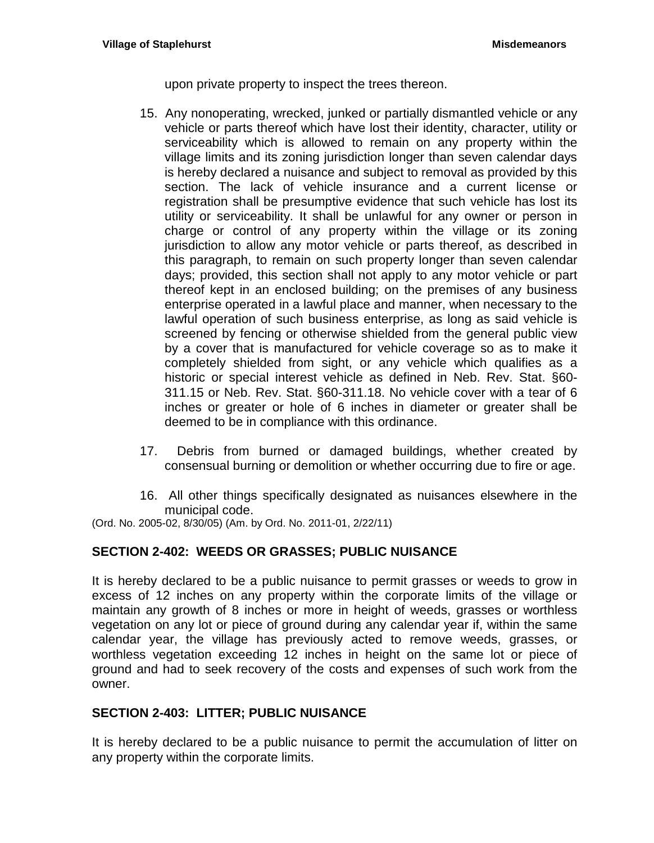upon private property to inspect the trees thereon.

- 15. Any nonoperating, wrecked, junked or partially dismantled vehicle or any vehicle or parts thereof which have lost their identity, character, utility or serviceability which is allowed to remain on any property within the village limits and its zoning jurisdiction longer than seven calendar days is hereby declared a nuisance and subject to removal as provided by this section. The lack of vehicle insurance and a current license or registration shall be presumptive evidence that such vehicle has lost its utility or serviceability. It shall be unlawful for any owner or person in charge or control of any property within the village or its zoning jurisdiction to allow any motor vehicle or parts thereof, as described in this paragraph, to remain on such property longer than seven calendar days; provided, this section shall not apply to any motor vehicle or part thereof kept in an enclosed building; on the premises of any business enterprise operated in a lawful place and manner, when necessary to the lawful operation of such business enterprise, as long as said vehicle is screened by fencing or otherwise shielded from the general public view by a cover that is manufactured for vehicle coverage so as to make it completely shielded from sight, or any vehicle which qualifies as a historic or special interest vehicle as defined in Neb. Rev. Stat. §60- 311.15 or Neb. Rev. Stat. §60-311.18. No vehicle cover with a tear of 6 inches or greater or hole of 6 inches in diameter or greater shall be deemed to be in compliance with this ordinance.
- 17. Debris from burned or damaged buildings, whether created by consensual burning or demolition or whether occurring due to fire or age.
- 16. All other things specifically designated as nuisances elsewhere in the municipal code.

(Ord. No. 2005-02, 8/30/05) (Am. by Ord. No. 2011-01, 2/22/11)

## <span id="page-24-0"></span>**SECTION 2-402: WEEDS OR GRASSES; PUBLIC NUISANCE**

It is hereby declared to be a public nuisance to permit grasses or weeds to grow in excess of 12 inches on any property within the corporate limits of the village or maintain any growth of 8 inches or more in height of weeds, grasses or worthless vegetation on any lot or piece of ground during any calendar year if, within the same calendar year, the village has previously acted to remove weeds, grasses, or worthless vegetation exceeding 12 inches in height on the same lot or piece of ground and had to seek recovery of the costs and expenses of such work from the owner.

## <span id="page-24-1"></span>**SECTION 2-403: LITTER; PUBLIC NUISANCE**

It is hereby declared to be a public nuisance to permit the accumulation of litter on any property within the corporate limits.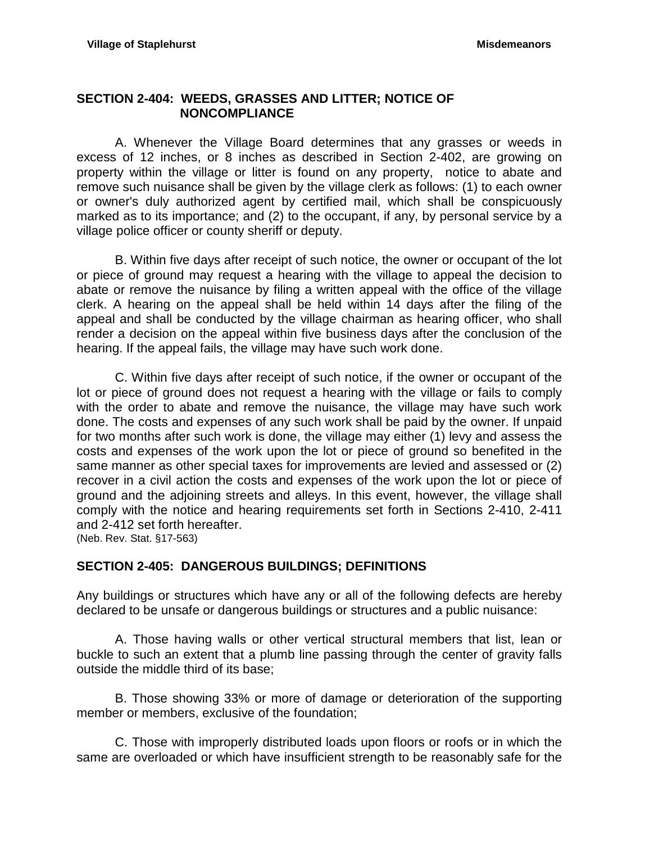## <span id="page-25-0"></span>**SECTION 2-404: WEEDS, GRASSES AND LITTER; NOTICE OF NONCOMPLIANCE**

A. Whenever the Village Board determines that any grasses or weeds in excess of 12 inches, or 8 inches as described in Section 2-402, are growing on property within the village or litter is found on any property, notice to abate and remove such nuisance shall be given by the village clerk as follows: (1) to each owner or owner's duly authorized agent by certified mail, which shall be conspicuously marked as to its importance; and (2) to the occupant, if any, by personal service by a village police officer or county sheriff or deputy.

B. Within five days after receipt of such notice, the owner or occupant of the lot or piece of ground may request a hearing with the village to appeal the decision to abate or remove the nuisance by filing a written appeal with the office of the village clerk. A hearing on the appeal shall be held within 14 days after the filing of the appeal and shall be conducted by the village chairman as hearing officer, who shall render a decision on the appeal within five business days after the conclusion of the hearing. If the appeal fails, the village may have such work done.

C. Within five days after receipt of such notice, if the owner or occupant of the lot or piece of ground does not request a hearing with the village or fails to comply with the order to abate and remove the nuisance, the village may have such work done. The costs and expenses of any such work shall be paid by the owner. If unpaid for two months after such work is done, the village may either (1) levy and assess the costs and expenses of the work upon the lot or piece of ground so benefited in the same manner as other special taxes for improvements are levied and assessed or (2) recover in a civil action the costs and expenses of the work upon the lot or piece of ground and the adjoining streets and alleys. In this event, however, the village shall comply with the notice and hearing requirements set forth in Sections 2-410, 2-411 and 2-412 set forth hereafter.

(Neb. Rev. Stat. §17-563)

# <span id="page-25-1"></span>**SECTION 2-405: DANGEROUS BUILDINGS; DEFINITIONS**

Any buildings or structures which have any or all of the following defects are hereby declared to be unsafe or dangerous buildings or structures and a public nuisance:

A. Those having walls or other vertical structural members that list, lean or buckle to such an extent that a plumb line passing through the center of gravity falls outside the middle third of its base;

B. Those showing 33% or more of damage or deterioration of the supporting member or members, exclusive of the foundation;

C. Those with improperly distributed loads upon floors or roofs or in which the same are overloaded or which have insufficient strength to be reasonably safe for the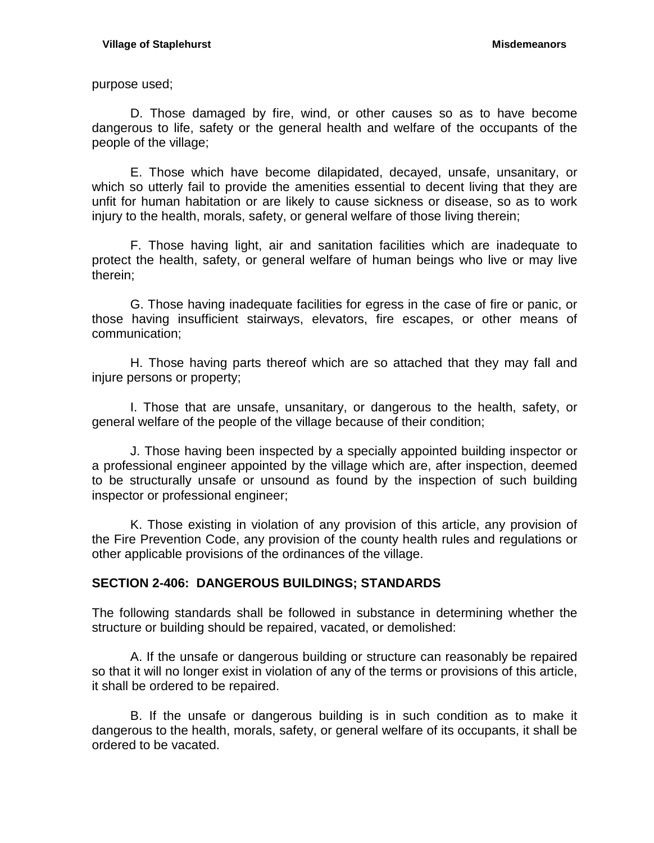purpose used;

D. Those damaged by fire, wind, or other causes so as to have become dangerous to life, safety or the general health and welfare of the occupants of the people of the village;

E. Those which have become dilapidated, decayed, unsafe, unsanitary, or which so utterly fail to provide the amenities essential to decent living that they are unfit for human habitation or are likely to cause sickness or disease, so as to work injury to the health, morals, safety, or general welfare of those living therein;

F. Those having light, air and sanitation facilities which are inadequate to protect the health, safety, or general welfare of human beings who live or may live therein;

G. Those having inadequate facilities for egress in the case of fire or panic, or those having insufficient stairways, elevators, fire escapes, or other means of communication;

H. Those having parts thereof which are so attached that they may fall and injure persons or property;

I. Those that are unsafe, unsanitary, or dangerous to the health, safety, or general welfare of the people of the village because of their condition;

J. Those having been inspected by a specially appointed building inspector or a professional engineer appointed by the village which are, after inspection, deemed to be structurally unsafe or unsound as found by the inspection of such building inspector or professional engineer;

K. Those existing in violation of any provision of this article, any provision of the Fire Prevention Code, any provision of the county health rules and regulations or other applicable provisions of the ordinances of the village.

## <span id="page-26-0"></span>**SECTION 2-406: DANGEROUS BUILDINGS; STANDARDS**

The following standards shall be followed in substance in determining whether the structure or building should be repaired, vacated, or demolished:

A. If the unsafe or dangerous building or structure can reasonably be repaired so that it will no longer exist in violation of any of the terms or provisions of this article, it shall be ordered to be repaired.

B. If the unsafe or dangerous building is in such condition as to make it dangerous to the health, morals, safety, or general welfare of its occupants, it shall be ordered to be vacated.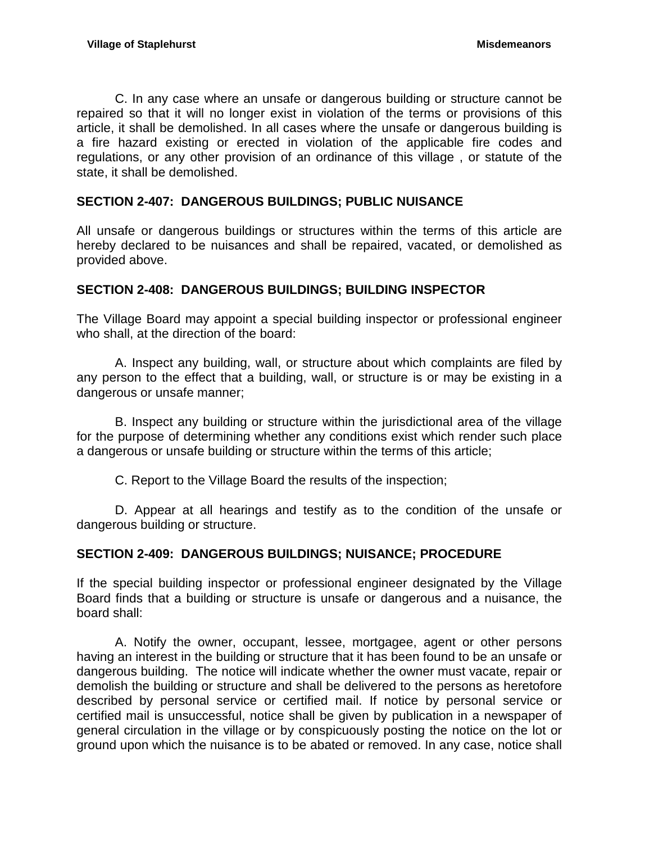C. In any case where an unsafe or dangerous building or structure cannot be repaired so that it will no longer exist in violation of the terms or provisions of this article, it shall be demolished. In all cases where the unsafe or dangerous building is a fire hazard existing or erected in violation of the applicable fire codes and regulations, or any other provision of an ordinance of this village , or statute of the state, it shall be demolished.

## <span id="page-27-0"></span>**SECTION 2-407: DANGEROUS BUILDINGS; PUBLIC NUISANCE**

All unsafe or dangerous buildings or structures within the terms of this article are hereby declared to be nuisances and shall be repaired, vacated, or demolished as provided above.

## <span id="page-27-1"></span>**SECTION 2-408: DANGEROUS BUILDINGS; BUILDING INSPECTOR**

The Village Board may appoint a special building inspector or professional engineer who shall, at the direction of the board:

A. Inspect any building, wall, or structure about which complaints are filed by any person to the effect that a building, wall, or structure is or may be existing in a dangerous or unsafe manner;

B. Inspect any building or structure within the jurisdictional area of the village for the purpose of determining whether any conditions exist which render such place a dangerous or unsafe building or structure within the terms of this article;

C. Report to the Village Board the results of the inspection;

D. Appear at all hearings and testify as to the condition of the unsafe or dangerous building or structure.

## <span id="page-27-2"></span>**SECTION 2-409: DANGEROUS BUILDINGS; NUISANCE; PROCEDURE**

If the special building inspector or professional engineer designated by the Village Board finds that a building or structure is unsafe or dangerous and a nuisance, the board shall:

A. Notify the owner, occupant, lessee, mortgagee, agent or other persons having an interest in the building or structure that it has been found to be an unsafe or dangerous building. The notice will indicate whether the owner must vacate, repair or demolish the building or structure and shall be delivered to the persons as heretofore described by personal service or certified mail. If notice by personal service or certified mail is unsuccessful, notice shall be given by publication in a newspaper of general circulation in the village or by conspicuously posting the notice on the lot or ground upon which the nuisance is to be abated or removed. In any case, notice shall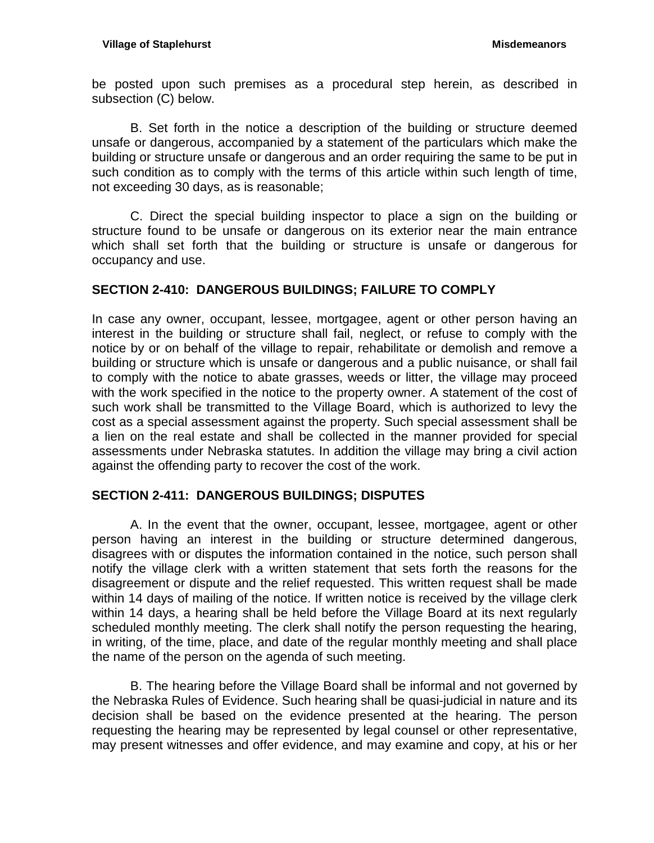be posted upon such premises as a procedural step herein, as described in subsection (C) below.

B. Set forth in the notice a description of the building or structure deemed unsafe or dangerous, accompanied by a statement of the particulars which make the building or structure unsafe or dangerous and an order requiring the same to be put in such condition as to comply with the terms of this article within such length of time, not exceeding 30 days, as is reasonable;

C. Direct the special building inspector to place a sign on the building or structure found to be unsafe or dangerous on its exterior near the main entrance which shall set forth that the building or structure is unsafe or dangerous for occupancy and use.

## <span id="page-28-0"></span>**SECTION 2-410: DANGEROUS BUILDINGS; FAILURE TO COMPLY**

In case any owner, occupant, lessee, mortgagee, agent or other person having an interest in the building or structure shall fail, neglect, or refuse to comply with the notice by or on behalf of the village to repair, rehabilitate or demolish and remove a building or structure which is unsafe or dangerous and a public nuisance, or shall fail to comply with the notice to abate grasses, weeds or litter, the village may proceed with the work specified in the notice to the property owner. A statement of the cost of such work shall be transmitted to the Village Board, which is authorized to levy the cost as a special assessment against the property. Such special assessment shall be a lien on the real estate and shall be collected in the manner provided for special assessments under Nebraska statutes. In addition the village may bring a civil action against the offending party to recover the cost of the work.

## <span id="page-28-1"></span>**SECTION 2-411: DANGEROUS BUILDINGS; DISPUTES**

A. In the event that the owner, occupant, lessee, mortgagee, agent or other person having an interest in the building or structure determined dangerous, disagrees with or disputes the information contained in the notice, such person shall notify the village clerk with a written statement that sets forth the reasons for the disagreement or dispute and the relief requested. This written request shall be made within 14 days of mailing of the notice. If written notice is received by the village clerk within 14 days, a hearing shall be held before the Village Board at its next regularly scheduled monthly meeting. The clerk shall notify the person requesting the hearing, in writing, of the time, place, and date of the regular monthly meeting and shall place the name of the person on the agenda of such meeting.

B. The hearing before the Village Board shall be informal and not governed by the Nebraska Rules of Evidence. Such hearing shall be quasi-judicial in nature and its decision shall be based on the evidence presented at the hearing. The person requesting the hearing may be represented by legal counsel or other representative, may present witnesses and offer evidence, and may examine and copy, at his or her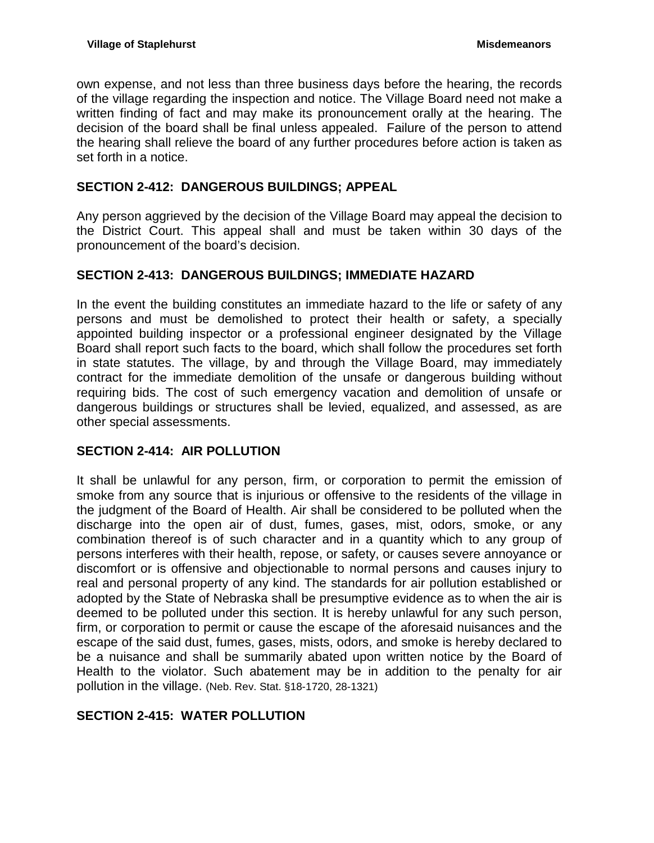own expense, and not less than three business days before the hearing, the records of the village regarding the inspection and notice. The Village Board need not make a written finding of fact and may make its pronouncement orally at the hearing. The decision of the board shall be final unless appealed. Failure of the person to attend the hearing shall relieve the board of any further procedures before action is taken as set forth in a notice.

# <span id="page-29-0"></span>**SECTION 2-412: DANGEROUS BUILDINGS; APPEAL**

Any person aggrieved by the decision of the Village Board may appeal the decision to the District Court. This appeal shall and must be taken within 30 days of the pronouncement of the board's decision.

# <span id="page-29-1"></span>**SECTION 2-413: DANGEROUS BUILDINGS; IMMEDIATE HAZARD**

In the event the building constitutes an immediate hazard to the life or safety of any persons and must be demolished to protect their health or safety, a specially appointed building inspector or a professional engineer designated by the Village Board shall report such facts to the board, which shall follow the procedures set forth in state statutes. The village, by and through the Village Board, may immediately contract for the immediate demolition of the unsafe or dangerous building without requiring bids. The cost of such emergency vacation and demolition of unsafe or dangerous buildings or structures shall be levied, equalized, and assessed, as are other special assessments.

# <span id="page-29-2"></span>**SECTION 2-414: AIR POLLUTION**

It shall be unlawful for any person, firm, or corporation to permit the emission of smoke from any source that is injurious or offensive to the residents of the village in the judgment of the Board of Health. Air shall be considered to be polluted when the discharge into the open air of dust, fumes, gases, mist, odors, smoke, or any combination thereof is of such character and in a quantity which to any group of persons interferes with their health, repose, or safety, or causes severe annoyance or discomfort or is offensive and objectionable to normal persons and causes injury to real and personal property of any kind. The standards for air pollution established or adopted by the State of Nebraska shall be presumptive evidence as to when the air is deemed to be polluted under this section. It is hereby unlawful for any such person, firm, or corporation to permit or cause the escape of the aforesaid nuisances and the escape of the said dust, fumes, gases, mists, odors, and smoke is hereby declared to be a nuisance and shall be summarily abated upon written notice by the Board of Health to the violator. Such abatement may be in addition to the penalty for air pollution in the village. (Neb. Rev. Stat. §18-1720, 28-1321)

# <span id="page-29-3"></span>**SECTION 2-415: WATER POLLUTION**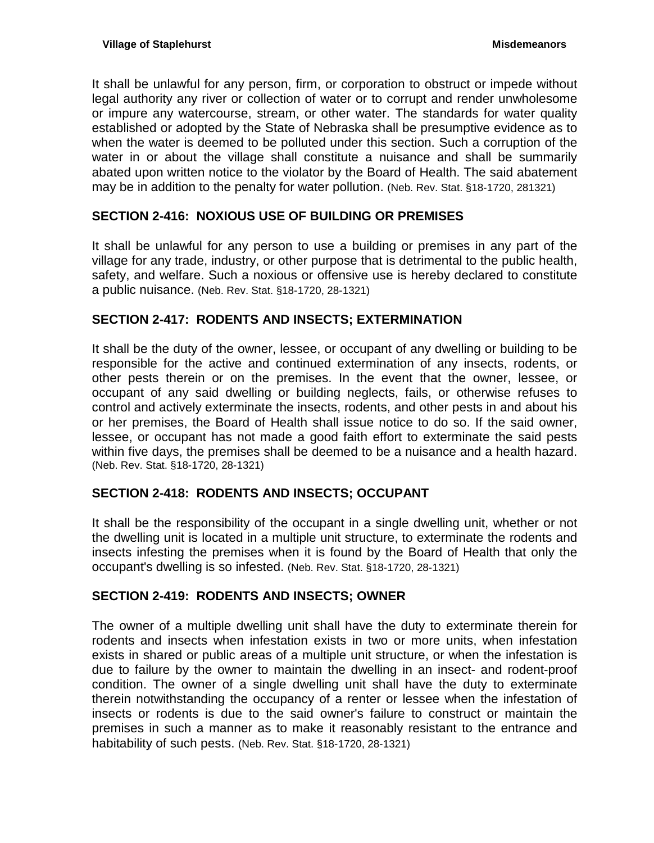It shall be unlawful for any person, firm, or corporation to obstruct or impede without legal authority any river or collection of water or to corrupt and render unwholesome or impure any watercourse, stream, or other water. The standards for water quality established or adopted by the State of Nebraska shall be presumptive evidence as to when the water is deemed to be polluted under this section. Such a corruption of the water in or about the village shall constitute a nuisance and shall be summarily abated upon written notice to the violator by the Board of Health. The said abatement may be in addition to the penalty for water pollution. (Neb. Rev. Stat. §18-1720, 281321)

# <span id="page-30-0"></span>**SECTION 2-416: NOXIOUS USE OF BUILDING OR PREMISES**

It shall be unlawful for any person to use a building or premises in any part of the village for any trade, industry, or other purpose that is detrimental to the public health, safety, and welfare. Such a noxious or offensive use is hereby declared to constitute a public nuisance. (Neb. Rev. Stat. §18-1720, 28-1321)

# <span id="page-30-1"></span>**SECTION 2-417: RODENTS AND INSECTS; EXTERMINATION**

It shall be the duty of the owner, lessee, or occupant of any dwelling or building to be responsible for the active and continued extermination of any insects, rodents, or other pests therein or on the premises. In the event that the owner, lessee, or occupant of any said dwelling or building neglects, fails, or otherwise refuses to control and actively exterminate the insects, rodents, and other pests in and about his or her premises, the Board of Health shall issue notice to do so. If the said owner, lessee, or occupant has not made a good faith effort to exterminate the said pests within five days, the premises shall be deemed to be a nuisance and a health hazard. (Neb. Rev. Stat. §18-1720, 28-1321)

# <span id="page-30-2"></span>**SECTION 2-418: RODENTS AND INSECTS; OCCUPANT**

It shall be the responsibility of the occupant in a single dwelling unit, whether or not the dwelling unit is located in a multiple unit structure, to exterminate the rodents and insects infesting the premises when it is found by the Board of Health that only the occupant's dwelling is so infested. (Neb. Rev. Stat. §18-1720, 28-1321)

## <span id="page-30-3"></span>**SECTION 2-419: RODENTS AND INSECTS; OWNER**

The owner of a multiple dwelling unit shall have the duty to exterminate therein for rodents and insects when infestation exists in two or more units, when infestation exists in shared or public areas of a multiple unit structure, or when the infestation is due to failure by the owner to maintain the dwelling in an insect- and rodent-proof condition. The owner of a single dwelling unit shall have the duty to exterminate therein notwithstanding the occupancy of a renter or lessee when the infestation of insects or rodents is due to the said owner's failure to construct or maintain the premises in such a manner as to make it reasonably resistant to the entrance and habitability of such pests. (Neb. Rev. Stat. §18-1720, 28-1321)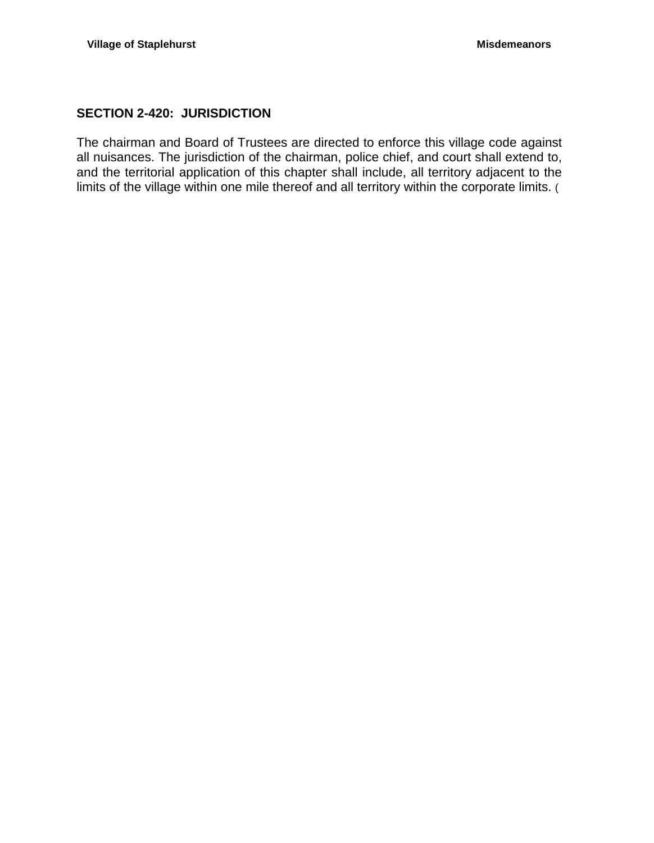# <span id="page-31-0"></span>**SECTION 2-420: JURISDICTION**

The chairman and Board of Trustees are directed to enforce this village code against all nuisances. The jurisdiction of the chairman, police chief, and court shall extend to, and the territorial application of this chapter shall include, all territory adjacent to the limits of the village within one mile thereof and all territory within the corporate limits. (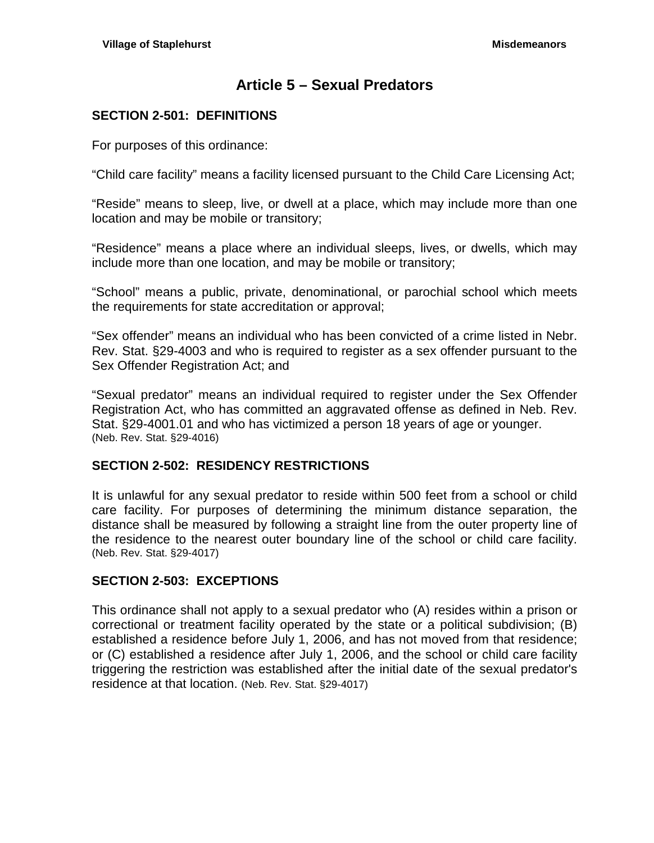# **Article 5 – Sexual Predators**

# <span id="page-32-1"></span><span id="page-32-0"></span>**SECTION 2-501: DEFINITIONS**

For purposes of this ordinance:

"Child care facility" means a facility licensed pursuant to the Child Care Licensing Act;

"Reside" means to sleep, live, or dwell at a place, which may include more than one location and may be mobile or transitory;

"Residence" means a place where an individual sleeps, lives, or dwells, which may include more than one location, and may be mobile or transitory;

"School" means a public, private, denominational, or parochial school which meets the requirements for state accreditation or approval;

"Sex offender" means an individual who has been convicted of a crime listed in Nebr. Rev. Stat. §29-4003 and who is required to register as a sex offender pursuant to the Sex Offender Registration Act; and

"Sexual predator" means an individual required to register under the Sex Offender Registration Act, who has committed an aggravated offense as defined in Neb. Rev. Stat. [§29-4001.01](http://www.lawriter.net/NLLXML/getcode.asp?userid=PRODSG&interface=CM&statecd=NE&codesec=29-4001.01&sessionyr=2009SP1&Title=29&datatype=S&noheader=0&nojumpmsg=0) and who has victimized a person 18 years of age or younger. (Neb. Rev. Stat. §29-4016)

## <span id="page-32-2"></span>**SECTION 2-502: RESIDENCY RESTRICTIONS**

It is unlawful for any sexual predator to reside within 500 feet from a school or child care facility. For purposes of determining the minimum distance separation, the distance shall be measured by following a straight line from the outer property line of the residence to the nearest outer boundary line of the school or child care facility. (Neb. Rev. Stat. §29-4017)

## <span id="page-32-3"></span>**SECTION 2-503: EXCEPTIONS**

This ordinance shall not apply to a sexual predator who (A) resides within a prison or correctional or treatment facility operated by the state or a political subdivision; (B) established a residence before July 1, 2006, and has not moved from that residence; or (C) established a residence after July 1, 2006, and the school or child care facility triggering the restriction was established after the initial date of the sexual predator's residence at that location. (Neb. Rev. Stat. §29-4017)